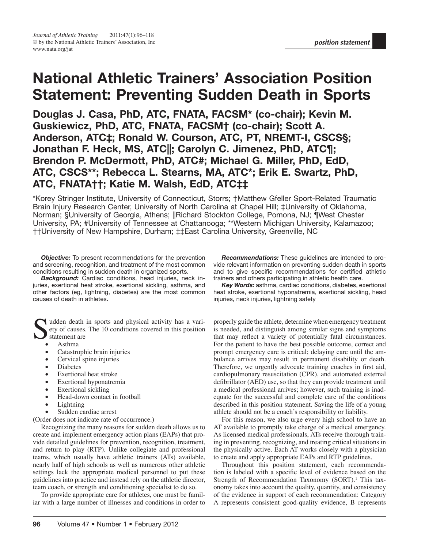# **National Athletic Trainers' Association Position Statement: Preventing Sudden Death in Sports**

**Douglas J. Casa, PhD, ATC, FNATA, FACSM\* (co-chair); Kevin M. Guskiewicz, PhD, ATC, FNATA, FACSM† (co-chair); Scott A. Anderson, ATC‡; Ronald W. Courson, ATC, PT, NREMT-I, CSCS§; Jonathan F. Heck, MS, ATC||; Carolyn C. Jimenez, PhD, ATC¶; Brendon P. McDermott, PhD, ATC#; Michael G. Miller, PhD, EdD, ATC, CSCS\*\*; Rebecca L. Stearns, MA, ATC\*; Erik E. Swartz, PhD, ATC, FNATA††; Katie M. Walsh, EdD, ATC‡‡**

\*Korey Stringer Institute, University of Connecticut, Storrs; †Matthew Gfeller Sport-Related Traumatic Brain Injury Research Center, University of North Carolina at Chapel Hill; ‡University of Oklahoma, Norman; §University of Georgia, Athens; ||Richard Stockton College, Pomona, NJ; ¶West Chester University, PA; #University of Tennessee at Chattanooga; \*\*Western Michigan University, Kalamazoo; ††University of New Hampshire, Durham; ‡‡East Carolina University, Greenville, NC

**Objective:** To present recommendations for the prevention and screening, recognition, and treatment of the most common conditions resulting in sudden death in organized sports.

*Background:* Cardiac conditions, head injuries, neck injuries, exertional heat stroke, exertional sickling, asthma, and other factors (eg, lightning, diabetes) are the most common causes of death in athletes.

udden death in sports and physical activity has a variety of causes. The 10 conditions covered in this position statement are

- Asthma
- Catastrophic brain injuries
- Cervical spine injuries
- **Diabetes**
- Exertional heat stroke
- Exertional hyponatremia
- Exertional sickling
- Head-down contact in football
- Lightning
- Sudden cardiac arrest
- (Order does not indicate rate of occurrence.)

Recognizing the many reasons for sudden death allows us to create and implement emergency action plans (EAPs) that provide detailed guidelines for prevention, recognition, treatment, and return to play (RTP). Unlike collegiate and professional teams, which usually have athletic trainers (ATs) available, nearly half of high schools as well as numerous other athletic settings lack the appropriate medical personnel to put these guidelines into practice and instead rely on the athletic director, team coach, or strength and conditioning specialist to do so.

To provide appropriate care for athletes, one must be familiar with a large number of illnesses and conditions in order to

*Recommendations:* These guidelines are intended to provide relevant information on preventing sudden death in sports and to give specific recommendations for certified athletic trainers and others participating in athletic health care.

*Key Words:* asthma, cardiac conditions, diabetes, exertional heat stroke, exertional hyponatremia, exertional sickling, head injuries, neck injuries, lightning safety

properly guide the athlete, determine when emergency treatment is needed, and distinguish among similar signs and symptoms that may reflect a variety of potentially fatal circumstances. For the patient to have the best possible outcome, correct and prompt emergency care is critical; delaying care until the ambulance arrives may result in permanent disability or death. Therefore, we urgently advocate training coaches in first aid, cardiopulmonary resuscitation (CPR), and automated external defibrillator (AED) use, so that they can provide treatment until a medical professional arrives; however, such training is inadequate for the successful and complete care of the conditions described in this position statement. Saving the life of a young athlete should not be a coach's responsibility or liability.

For this reason, we also urge every high school to have an AT available to promptly take charge of a medical emergency. As licensed medical professionals, ATs receive thorough training in preventing, recognizing, and treating critical situations in the physically active. Each AT works closely with a physician to create and apply appropriate EAPs and RTP guidelines.

Throughout this position statement, each recommendation is labeled with a specific level of evidence based on the Strength of Recommendation Taxonomy (SORT).<sup>1</sup> This taxonomy takes into account the quality, quantity, and consistency of the evidence in support of each recommendation: Category A represents consistent good-quality evidence, B represents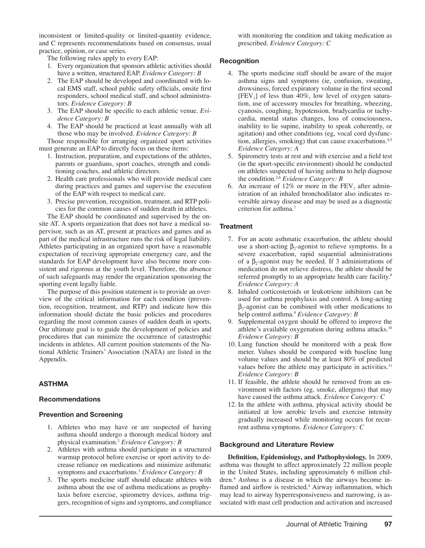inconsistent or limited-quality or limited-quantity evidence, and C represents recommendations based on consensus, usual practice, opinion, or case series.

with monitoring the condition and taking medication as prescribed. *Evidence Category: C*

The following rules apply to every EAP:

- 1. Every organization that sponsors athletic activities should have a written, structured EAP. *Evidence Category: B*
- 2. The EAP should be developed and coordinated with local EMS staff, school public safety officials, onsite first responders, school medical staff, and school administrators. *Evidence Category: B*
- 3. The EAP should be specific to each athletic venue. *Evidence Category: B*
- 4. The EAP should be practiced at least annually with all those who may be involved. *Evidence Category: B*

Those responsible for arranging organized sport activities must generate an EAP to directly focus on these items:

- 1. Instruction, preparation, and expectations of the athletes, parents or guardians, sport coaches, strength and conditioning coaches, and athletic directors.
- 2. Health care professionals who will provide medical care during practices and games and supervise the execution of the EAP with respect to medical care.
- 3. Precise prevention, recognition, treatment, and RTP policies for the common causes of sudden death in athletes.

The EAP should be coordinated and supervised by the onsite AT. A sports organization that does not have a medical supervisor, such as an AT, present at practices and games and as part of the medical infrastructure runs the risk of legal liability. Athletes participating in an organized sport have a reasonable expectation of receiving appropriate emergency care, and the standards for EAP development have also become more consistent and rigorous at the youth level. Therefore, the absence of such safeguards may render the organization sponsoring the sporting event legally liable.

The purpose of this position statement is to provide an overview of the critical information for each condition (prevention, recognition, treatment, and RTP) and indicate how this information should dictate the basic policies and procedures regarding the most common causes of sudden death in sports. Our ultimate goal is to guide the development of policies and procedures that can minimize the occurrence of catastrophic incidents in athletes. All current position statements of the National Athletic Trainers' Association (NATA) are listed in the Appendix.

# **ASTHMA**

# **Recommendations**

# **Prevention and Screening**

- 1. Athletes who may have or are suspected of having asthma should undergo a thorough medical history and physical examination.2 *Evidence Category: B*
- 2. Athletes with asthma should participate in a structured warmup protocol before exercise or sport activity to decrease reliance on medications and minimize asthmatic symptoms and exacerbations.3 *Evidence Category: B*
- 3. The sports medicine staff should educate athletes with asthma about the use of asthma medications as prophylaxis before exercise, spirometry devices, asthma triggers, recognition of signs and symptoms, and compliance

# **Recognition**

- 4. The sports medicine staff should be aware of the major asthma signs and symptoms (ie, confusion, sweating, drowsiness, forced expiratory volume in the first second  $[FEV<sub>1</sub>]$  of less than 40%, low level of oxygen saturation, use of accessory muscles for breathing, wheezing, cyanosis, coughing, hypotension, bradycardia or tachycardia, mental status changes, loss of consciousness, inability to lie supine, inability to speak coherently, or agitation) and other conditions (eg, vocal cord dysfunction, allergies, smoking) that can cause exacerbations.<sup>4,5</sup> *Evidence Category: A*
- 5. Spirometry tests at rest and with exercise and a field test (in the sport-specific environment) should be conducted on athletes suspected of having asthma to help diagnose the condition.2,6 *Evidence Category: B*
- 6. An increase of 12% or more in the  $FEV<sub>1</sub>$  after administration of an inhaled bronchodilator also indicates reversible airway disease and may be used as a diagnostic criterion for asthma.7

# **Treatment**

- 7. For an acute asthmatic exacerbation, the athlete should use a short-acting  $\beta_2$ -agonist to relieve symptoms. In a severe exacerbation, rapid sequential administrations of a  $\beta_2$ -agonist may be needed. If 3 administrations of medication do not relieve distress, the athlete should be referred promptly to an appropriate health care facility.<sup>8</sup> *Evidence Category: A*
- 8. Inhaled corticosteroids or leukotriene inhibitors can be used for asthma prophylaxis and control. A long-acting  $β_2$ -agonist can be combined with other medications to help control asthma.9 *Evidence Category: B*
- 9. Supplemental oxygen should be offered to improve the athlete's available oxygenation during asthma attacks.<sup>10</sup> *Evidence Category: B*
- 10. Lung function should be monitored with a peak flow meter. Values should be compared with baseline lung volume values and should be at least 80% of predicted values before the athlete may participate in activities.<sup>11</sup> *Evidence Category: B*
- 11. If feasible, the athlete should be removed from an environment with factors (eg, smoke, allergens) that may have caused the asthma attack. *Evidence Category: C*
- 12. In the athlete with asthma, physical activity should be initiated at low aerobic levels and exercise intensity gradually increased while monitoring occurs for recurrent asthma symptoms. *Evidence Category: C*

# **Background and Literature Review**

 **Definition, Epidemiology, and Pathophysiology.** In 2009, asthma was thought to affect approximately 22 million people in the United States, including approximately 6 million children.4 *Asthma* is a disease in which the airways become inflamed and airflow is restricted.<sup>4</sup> Airway inflammation, which may lead to airway hyperresponsiveness and narrowing, is associated with mast cell production and activation and increased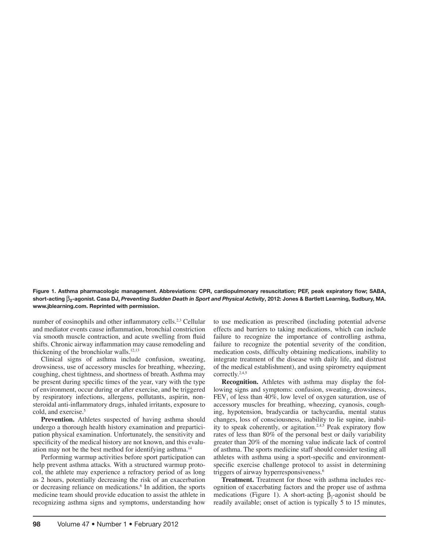# **Figure 1. Asthma pharmacologic management. Abbreviations: CPR, cardiopulmonary resuscitation; PEF, peak expiratory flow; SABA, short-acting** β**2-agonist. Casa DJ,** *Preventing Sudden Death in Sport and Physical Activity***, 2012: Jones & Bartlett Learning, Sudbury, MA. www.jblearning.com. Reprinted with permission.**

number of eosinophils and other inflammatory cells.<sup>2,3</sup> Cellular and mediator events cause inflammation, bronchial constriction via smooth muscle contraction, and acute swelling from fluid shifts. Chronic airway inflammation may cause remodeling and thickening of the bronchiolar walls.<sup>12,13</sup>

Clinical signs of asthma include confusion, sweating, drowsiness, use of accessory muscles for breathing, wheezing, coughing, chest tightness, and shortness of breath. Asthma may be present during specific times of the year, vary with the type of environment, occur during or after exercise, and be triggered by respiratory infections, allergens, pollutants, aspirin, nonsteroidal anti-inflammatory drugs, inhaled irritants, exposure to cold, and exercise.<sup>5</sup>

Prevention. Athletes suspected of having asthma should undergo a thorough health history examination and preparticipation physical examination. Unfortunately, the sensitivity and specificity of the medical history are not known, and this evaluation may not be the best method for identifying asthma.14

Performing warmup activities before sport participation can help prevent asthma attacks. With a structured warmup protocol, the athlete may experience a refractory period of as long as 2 hours, potentially decreasing the risk of an exacerbation or decreasing reliance on medications.<sup>6</sup> In addition, the sports medicine team should provide education to assist the athlete in recognizing asthma signs and symptoms, understanding how

to use medication as prescribed (including potential adverse effects and barriers to taking medications, which can include failure to recognize the importance of controlling asthma, failure to recognize the potential severity of the condition, medication costs, difficulty obtaining medications, inability to integrate treatment of the disease with daily life, and distrust of the medical establishment), and using spirometry equipment correctly.2,4,5

 **Recognition.** Athletes with asthma may display the following signs and symptoms: confusion, sweating, drowsiness,  $FEV<sub>1</sub>$  of less than 40%, low level of oxygen saturation, use of accessory muscles for breathing, wheezing, cyanosis, coughing, hypotension, bradycardia or tachycardia, mental status changes, loss of consciousness, inability to lie supine, inability to speak coherently, or agitation.<sup>2,4,5</sup> Peak expiratory flow rates of less than 80% of the personal best or daily variability greater than 20% of the morning value indicate lack of control of asthma. The sports medicine staff should consider testing all athletes with asthma using a sport-specific and environmentspecific exercise challenge protocol to assist in determining triggers of airway hyperresponsiveness.<sup>6</sup>

Treatment. Treatment for those with asthma includes recognition of exacerbating factors and the proper use of asthma medications (Figure 1). A short-acting  $\beta_2$ -agonist should be readily available; onset of action is typically 5 to 15 minutes,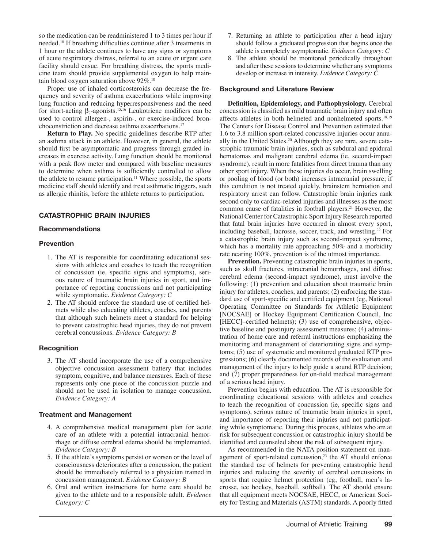so the medication can be readministered 1 to 3 times per hour if needed.10 If breathing difficulties continue after 3 treatments in 1 hour or the athlete continues to have any signs or symptoms of acute respiratory distress, referral to an acute or urgent care facility should ensue. For breathing distress, the sports medicine team should provide supplemental oxygen to help maintain blood oxygen saturation above 92%.10

Proper use of inhaled corticosteroids can decrease the frequency and severity of asthma exacerbations while improving lung function and reducing hyperresponsiveness and the need for short-acting  $β_2$ -agonists.<sup>15,16</sup> Leukotriene modifiers can be used to control allergen-, aspirin-, or exercise-induced bronchoconstriction and decrease asthma exacerbations.17

 **Return to Play.** No specific guidelines describe RTP after an asthma attack in an athlete. However, in general, the athlete should first be asymptomatic and progress through graded increases in exercise activity. Lung function should be monitored with a peak flow meter and compared with baseline measures to determine when asthma is sufficiently controlled to allow the athlete to resume participation.<sup>11</sup> Where possible, the sports medicine staff should identify and treat asthmatic triggers, such as allergic rhinitis, before the athlete returns to participation.

# **CATASTROPHIC BRAIN INJURIES**

## **Recommendations**

## **Prevention**

- 1. The AT is responsible for coordinating educational sessions with athletes and coaches to teach the recognition of concussion (ie, specific signs and symptoms), serious nature of traumatic brain injuries in sport, and importance of reporting concussions and not participating while symptomatic. *Evidence Category: C*
- 2. The AT should enforce the standard use of certified helmets while also educating athletes, coaches, and parents that although such helmets meet a standard for helping to prevent catastrophic head injuries, they do not prevent cerebral concussions. *Evidence Category: B*

# **Recognition**

3. The AT should incorporate the use of a comprehensive objective concussion assessment battery that includes symptom, cognitive, and balance measures. Each of these represents only one piece of the concussion puzzle and should not be used in isolation to manage concussion. *Evidence Category: A*

# **Treatment and Management**

- 4. A comprehensive medical management plan for acute care of an athlete with a potential intracranial hemorrhage or diffuse cerebral edema should be implemented. *Evidence Category: B*
- 5. If the athlete's symptoms persist or worsen or the level of consciousness deteriorates after a concussion, the patient should be immediately referred to a physician trained in concussion management. *Evidence Category: B*
- 6. Oral and written instructions for home care should be given to the athlete and to a responsible adult. *Evidence Category: C*
- 7. Returning an athlete to participation after a head injury should follow a graduated progression that begins once the athlete is completely asymptomatic. *Evidence Category: C*
- 8. The athlete should be monitored periodically throughout and after these sessions to determine whether any symptoms develop or increase in intensity. *Evidence Category: C*

## **Background and Literature Review**

 **Definition, Epidemiology, and Pathophysiology.** Cerebral concussion is classified as mild traumatic brain injury and often affects athletes in both helmeted and nonhelmeted sports.<sup>18,19</sup> The Centers for Disease Control and Prevention estimated that 1.6 to 3.8 million sport-related concussive injuries occur annually in the United States.<sup>20</sup> Although they are rare, severe catastrophic traumatic brain injuries, such as subdural and epidural hematomas and malignant cerebral edema (ie, second-impact syndrome), result in more fatalities from direct trauma than any other sport injury. When these injuries do occur, brain swelling or pooling of blood (or both) increases intracranial pressure; if this condition is not treated quickly, brainstem herniation and respiratory arrest can follow. Catastrophic brain injuries rank second only to cardiac-related injuries and illnesses as the most common cause of fatalities in football players.<sup>21</sup> However, the National Center for Catastrophic Sport Injury Research reported that fatal brain injuries have occurred in almost every sport, including baseball, lacrosse, soccer, track, and wrestling.<sup>22</sup> For a catastrophic brain injury such as second-impact syndrome, which has a mortality rate approaching 50% and a morbidity rate nearing 100%, prevention is of the utmost importance.

Prevention. Preventing catastrophic brain injuries in sports, such as skull fractures, intracranial hemorrhages, and diffuse cerebral edema (second-impact syndrome), must involve the following: (1) prevention and education about traumatic brain injury for athletes, coaches, and parents; (2) enforcing the standard use of sport-specific and certified equipment (eg, National Operating Committee on Standards for Athletic Equipment [NOCSAE] or Hockey Equipment Certification Council, Inc [HECC]–certified helmets); (3) use of comprehensive, objective baseline and postinjury assessment measures; (4) administration of home care and referral instructions emphasizing the monitoring and management of deteriorating signs and symptoms; (5) use of systematic and monitored graduated RTP progressions; (6) clearly documented records of the evaluation and management of the injury to help guide a sound RTP decision; and (7) proper preparedness for on-field medical management of a serious head injury.

Prevention begins with education. The AT is responsible for coordinating educational sessions with athletes and coaches to teach the recognition of concussion (ie, specific signs and symptoms), serious nature of traumatic brain injuries in sport, and importance of reporting their injuries and not participating while symptomatic. During this process, athletes who are at risk for subsequent concussion or catastrophic injury should be identified and counseled about the risk of subsequent injury.

As recommended in the NATA position statement on management of sport-related concussion,<sup>23</sup> the AT should enforce the standard use of helmets for preventing catastrophic head injuries and reducing the severity of cerebral concussions in sports that require helmet protection (eg, football, men's lacrosse, ice hockey, baseball, softball). The AT should ensure that all equipment meets NOCSAE, HECC, or American Society for Testing and Materials (ASTM) standards. A poorly fitted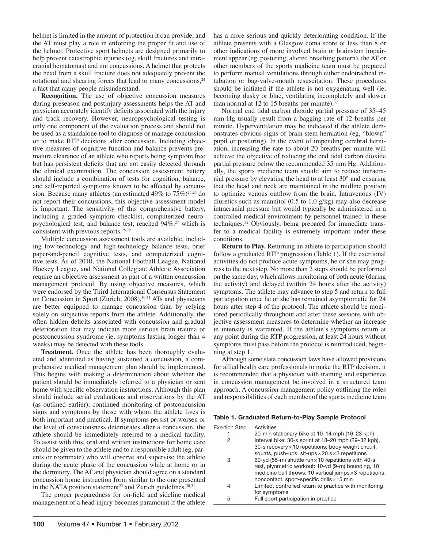helmet is limited in the amount of protection it can provide, and the AT must play a role in enforcing the proper fit and use of the helmet. Protective sport helmets are designed primarily to help prevent catastrophic injuries (eg, skull fractures and intracranial hematomas) and not concussions. A helmet that protects the head from a skull fracture does not adequately prevent the rotational and shearing forces that lead to many concussions, $24$ a fact that many people misunderstand.

 **Recognition.** The use of objective concussion measures during preseason and postinjury assessments helps the AT and physician accurately identify deficits associated with the injury and track recovery. However, neuropsychological testing is only one component of the evaluation process and should not be used as a standalone tool to diagnose or manage concussion or to make RTP decisions after concussion. Including objective measures of cognitive function and balance prevents premature clearance of an athlete who reports being symptom free but has persistent deficits that are not easily detected through the clinical examination. The concussion assessment battery should include a combination of tests for cognition, balance, and self-reported symptoms known to be affected by concussion. Because many athletes (an estimated  $49\%$  to  $75\%$ )<sup>25,26</sup> do not report their concussions, this objective assessment model is important. The sensitivity of this comprehensive battery, including a graded symptom checklist, computerized neuropsychological test, and balance test, reached 94%,<sup>27</sup> which is consistent with previous reports.28,29

Multiple concussion assessment tools are available, including low-technology and high-technology balance tests, brief paper-and-pencil cognitive tests, and computerized cognitive tests. As of 2010, the National Football League, National Hockey League, and National Collegiate Athletic Association require an objective assessment as part of a written concussion management protocol. By using objective measures, which were endorsed by the Third International Consensus Statement on Concussion in Sport (Zurich,  $2008$ ), $30,31$  ATs and physicians are better equipped to manage concussion than by relying solely on subjective reports from the athlete. Additionally, the often hidden deficits associated with concussion and gradual deterioration that may indicate more serious brain trauma or postconcussion syndrome (ie, symptoms lasting longer than 4 weeks) may be detected with these tools.

**Treatment.** Once the athlete has been thoroughly evaluated and identified as having sustained a concussion, a comprehensive medical management plan should be implemented. This begins with making a determination about whether the patient should be immediately referred to a physician or sent home with specific observation instructions. Although this plan should include serial evaluations and observations by the AT (as outlined earlier), continued monitoring of postconcussion signs and symptoms by those with whom the athlete lives is both important and practical. If symptoms persist or worsen or the level of consciousness deteriorates after a concussion, the athlete should be immediately referred to a medical facility. To assist with this, oral and written instructions for home care should be given to the athlete and to a responsible adult (eg, parents or roommate) who will observe and supervise the athlete during the acute phase of the concussion while at home or in the dormitory. The AT and physician should agree on a standard concussion home instruction form similar to the one presented in the NATA position statement<sup>23</sup> and Zurich guidelines.<sup>30,31</sup>

The proper preparedness for on-field and sideline medical management of a head injury becomes paramount if the athlete

has a more serious and quickly deteriorating condition*.* If the athlete presents with a Glasgow coma score of less than 8 or other indications of more involved brain or brainstem impairment appear (eg, posturing, altered breathing pattern), the AT or other members of the sports medicine team must be prepared to perform manual ventilations through either endotracheal intubation or bag-valve-mouth resuscitation. These procedures should be initiated if the athlete is not oxygenating well (ie, becoming dusky or blue, ventilating incompletely and slower than normal at 12 to 15 breaths per minute). $32$ 

Normal end tidal carbon dioxide partial pressure of 35–45 mm Hg usually result from a bagging rate of 12 breaths per minute. Hyperventilation may be indicated if the athlete demonstrates obvious signs of brain-stem herniation (eg, "blown" pupil or posturing). In the event of impending cerebral herniation, increasing the rate to about 20 breaths per minute will achieve the objective of reducing the end tidal carbon dioxide partial pressure below the recommended 35 mm Hg. Additionally, the sports medicine team should aim to reduce intracranial pressure by elevating the head to at least 30° and ensuring that the head and neck are maintained in the midline position to optimize venous outflow from the brain. Intravenous (IV) diuretics such as mannitol (0.5 to 1.0 g/kg) may also decrease intracranial pressure but would typically be administered in a controlled medical environment by personnel trained in these techniques.32 Obviously, being prepared for immediate transfer to a medical facility is extremely important under these conditions.

 **Return to Play.** Returning an athlete to participation should follow a graduated RTP progression (Table 1). If the exertional activities do not produce acute symptoms, he or she may progress to the next step. No more than 2 steps should be performed on the same day, which allows monitoring of both acute (during the activity) and delayed (within 24 hours after the activity) symptoms. The athlete may advance to step 5 and return to full participation once he or she has remained asymptomatic for 24 hours after step 4 of the protocol. The athlete should be monitored periodically throughout and after these sessions with objective assessment measures to determine whether an increase in intensity is warranted. If the athlete's symptoms return at any point during the RTP progression, at least 24 hours without symptoms must pass before the protocol is reintroduced, beginning at step 1.

Although some state concussion laws have allowed provisions for allied health care professionals to make the RTP decision, it is recommended that a physician with training and experience in concussion management be involved in a structured team approach. A concussion management policy outlining the roles and responsibilities of each member of the sports medicine team

|  |  | Table 1. Graduated Return-to-Play Sample Protocol |  |  |
|--|--|---------------------------------------------------|--|--|
|--|--|---------------------------------------------------|--|--|

| <b>Exertion Step</b> | <b>Activities</b>                                                                                                                                                                                                                                                                                                                                                  |
|----------------------|--------------------------------------------------------------------------------------------------------------------------------------------------------------------------------------------------------------------------------------------------------------------------------------------------------------------------------------------------------------------|
| 1.                   | 20-min stationary bike at 10–14 mph (16–23 kph)                                                                                                                                                                                                                                                                                                                    |
| 2.                   | Interval bike: 30-s sprint at 18-20 mph (29-32 kph),                                                                                                                                                                                                                                                                                                               |
| З.                   | 30-s recovery × 10 repetitions; body weight circuit:<br>squats, push-ups, sit-ups $\times$ 20 s $\times$ 3 repetitions<br>60-yd (55-m) shuttle run $\times$ 10 repetitions with 40-s<br>rest, plyometric workout: 10-yd (9-m) bounding, 10<br>medicine ball throws, 10 vertical jumps $\times$ 3 repetitions;<br>noncontact, sport-specific drills $\times$ 15 min |
| 4.                   | Limited, controlled return to practice with monitoring                                                                                                                                                                                                                                                                                                             |
| 5.                   | for symptoms<br>Full sport participation in practice                                                                                                                                                                                                                                                                                                               |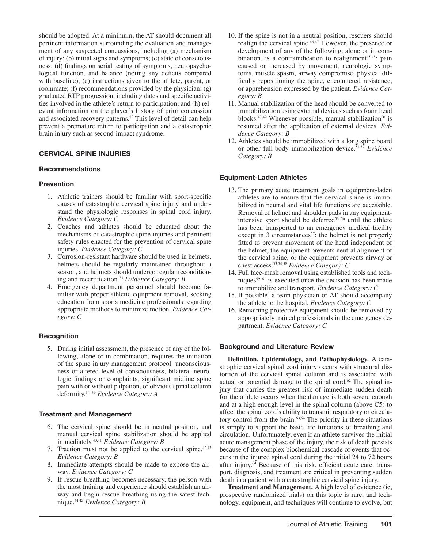should be adopted. At a minimum, the AT should document all pertinent information surrounding the evaluation and management of any suspected concussions, including (a) mechanism of injury; (b) initial signs and symptoms; (c) state of consciousness; (d) findings on serial testing of symptoms, neuropsychological function, and balance (noting any deficits compared with baseline); (e) instructions given to the athlete, parent, or roommate; (f) recommendations provided by the physician; (g) graduated RTP progression, including dates and specific activities involved in the athlete's return to participation; and (h) relevant information on the player's history of prior concussion and associated recovery patterns.<sup>23</sup> This level of detail can help prevent a premature return to participation and a catastrophic brain injury such as second-impact syndrome.

# **CERVICAL SPINE INJURIES**

## **Recommendations**

## **Prevention**

- 1. Athletic trainers should be familiar with sport-specific causes of catastrophic cervical spine injury and understand the physiologic responses in spinal cord injury. *Evidence Category: C*
- 2. Coaches and athletes should be educated about the mechanisms of catastrophic spine injuries and pertinent safety rules enacted for the prevention of cervical spine injuries. *Evidence Category: C*
- 3. Corrosion-resistant hardware should be used in helmets, helmets should be regularly maintained throughout a season, and helmets should undergo regular reconditioning and recertification.<sup>33</sup> *Evidence Category: B*
- 4. Emergency department personnel should become familiar with proper athletic equipment removal, seeking education from sports medicine professionals regarding appropriate methods to minimize motion. *Evidence Category: C*

# **Recognition**

5. During initial assessment, the presence of any of the following, alone or in combination, requires the initiation of the spine injury management protocol: unconsciousness or altered level of consciousness, bilateral neurologic findings or complaints, significant midline spine pain with or without palpation, or obvious spinal column deformity.34–39 *Evidence Category: A*

# **Treatment and Management**

- 6. The cervical spine should be in neutral position, and manual cervical spine stabilization should be applied immediately.40,41 *Evidence Category: B*
- 7. Traction must not be applied to the cervical spine.  $42,43$ *Evidence Category: B*
- 8. Immediate attempts should be made to expose the airway. *Evidence Category: C*
- 9. If rescue breathing becomes necessary, the person with the most training and experience should establish an airway and begin rescue breathing using the safest technique.44,45 *Evidence Category: B*
- 10. If the spine is not in a neutral position, rescuers should realign the cervical spine.46,47 However, the presence or development of any of the following, alone or in combination, is a contraindication to realignment<sup>45,48</sup>: pain caused or increased by movement, neurologic symptoms, muscle spasm, airway compromise, physical difficulty repositioning the spine, encountered resistance, or apprehension expressed by the patient. *Evidence Category: B*
- 11. Manual stabilization of the head should be converted to immobilization using external devices such as foam head blocks. $47,49$  Whenever possible, manual stabilization<sup>50</sup> is resumed after the application of external devices. *Evidence Category: B*
- 12. Athletes should be immobilized with a long spine board or other full-body immobilization device.51,52 *Evidence Category: B*

# **Equipment-Laden Athletes**

- 13. The primary acute treatment goals in equipment-laden athletes are to ensure that the cervical spine is immobilized in neutral and vital life functions are accessible. Removal of helmet and shoulder pads in any equipmentintensive sport should be deferred<sup>53-56</sup> until the athlete has been transported to an emergency medical facility except in 3 circumstances<sup>57</sup>: the helmet is not properly fitted to prevent movement of the head independent of the helmet, the equipment prevents neutral alignment of the cervical spine, or the equipment prevents airway or chest access.53,54,58 *Evidence Category: C*
- 14. Full face-mask removal using established tools and techniques $59-61$  is executed once the decision has been made to immobilize and transport. *Evidence Category: C*
- 15. If possible, a team physician or AT should accompany the athlete to the hospital. *Evidence Category: C*
- 16. Remaining protective equipment should be removed by appropriately trained professionals in the emergency department. *Evidence Category: C*

# **Background and Literature Review**

 **Definition, Epidemiology, and Pathophysiology.** A catastrophic cervical spinal cord injury occurs with structural distortion of the cervical spinal column and is associated with actual or potential damage to the spinal cord.<sup>62</sup> The spinal injury that carries the greatest risk of immediate sudden death for the athlete occurs when the damage is both severe enough and at a high enough level in the spinal column (above C5) to affect the spinal cord's ability to transmit respiratory or circulatory control from the brain. $63,64$  The priority in these situations is simply to support the basic life functions of breathing and circulation. Unfortunately, even if an athlete survives the initial acute management phase of the injury, the risk of death persists because of the complex biochemical cascade of events that occurs in the injured spinal cord during the initial 24 to 72 hours after injury.<sup>64</sup> Because of this risk, efficient acute care, transport, diagnosis, and treatment are critical in preventing sudden death in a patient with a catastrophic cervical spine injury.

**Treatment and Management.** A high level of evidence (ie, prospective randomized trials) on this topic is rare, and technology, equipment, and techniques will continue to evolve, but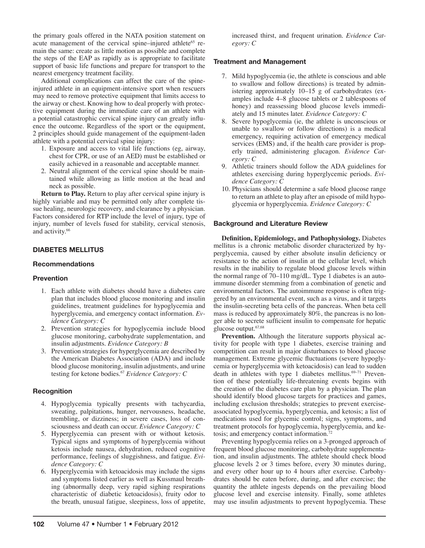the primary goals offered in the NATA position statement on acute management of the cervical spine–injured athlete<sup>65</sup> remain the same: create as little motion as possible and complete the steps of the EAP as rapidly as is appropriate to facilitate support of basic life functions and prepare for transport to the nearest emergency treatment facility.

Additional complications can affect the care of the spineinjured athlete in an equipment-intensive sport when rescuers may need to remove protective equipment that limits access to the airway or chest. Knowing how to deal properly with protective equipment during the immediate care of an athlete with a potential catastrophic cervical spine injury can greatly influence the outcome. Regardless of the sport or the equipment, 2 principles should guide management of the equipment-laden athlete with a potential cervical spine injury:

- 1. Exposure and access to vital life functions (eg, airway, chest for CPR, or use of an AED) must be established or easily achieved in a reasonable and acceptable manner.
- 2. Neutral alignment of the cervical spine should be maintained while allowing as little motion at the head and neck as possible.

**Return to Play.** Return to play after cervical spine injury is highly variable and may be permitted only after complete tissue healing, neurologic recovery, and clearance by a physician. Factors considered for RTP include the level of injury, type of injury, number of levels fused for stability, cervical stenosis, and activity.<sup>66</sup>

# **DIABETES MELLITUS**

## **Recommendations**

## **Prevention**

- 1. Each athlete with diabetes should have a diabetes care plan that includes blood glucose monitoring and insulin guidelines, treatment guidelines for hypoglycemia and hyperglycemia, and emergency contact information. *Evidence Category: C*
- 2. Prevention strategies for hypoglycemia include blood glucose monitoring, carbohydrate supplementation, and insulin adjustments. *Evidence Category: B*
- 3. Prevention strategies for hyperglycemia are described by the American Diabetes Association (ADA) and include blood glucose monitoring, insulin adjustments, and urine testing for ketone bodies.67 *Evidence Category: C*

#### **Recognition**

- 4. Hypoglycemia typically presents with tachycardia, sweating, palpitations, hunger, nervousness, headache, trembling, or dizziness; in severe cases, loss of consciousness and death can occur. *Evidence Category: C*
- 5. Hyperglycemia can present with or without ketosis. Typical signs and symptoms of hyperglycemia without ketosis include nausea, dehydration, reduced cognitive performance, feelings of sluggishness, and fatigue. *Evidence Category: C*
- 6. Hyperglycemia with ketoacidosis may include the signs and symptoms listed earlier as well as Kussmaul breathing (abnormally deep, very rapid sighing respirations characteristic of diabetic ketoacidosis), fruity odor to the breath, unusual fatigue, sleepiness, loss of appetite,

increased thirst, and frequent urination. *Evidence Category: C*

## **Treatment and Management**

- 7. Mild hypoglycemia (ie, the athlete is conscious and able to swallow and follow directions) is treated by administering approximately 10–15 g of carbohydrates (examples include 4–8 glucose tablets or 2 tablespoons of honey) and reassessing blood glucose levels immediately and 15 minutes later. *Evidence Category: C*
- 8. Severe hypoglycemia (ie, the athlete is unconscious or unable to swallow or follow directions) is a medical emergency, requiring activation of emergency medical services (EMS) and, if the health care provider is properly trained, administering glucagon. *Evidence Category: C*
- 9. Athletic trainers should follow the ADA guidelines for athletes exercising during hyperglycemic periods. *Evidence Category: C*
- 10. Physicians should determine a safe blood glucose range to return an athlete to play after an episode of mild hypoglycemia or hyperglycemia. *Evidence Category: C*

## **Background and Literature Review**

 **Definition, Epidemiology, and Pathophysiology.** Diabetes mellitus is a chronic metabolic disorder characterized by hyperglycemia, caused by either absolute insulin deficiency or resistance to the action of insulin at the cellular level, which results in the inability to regulate blood glucose levels within the normal range of 70–110 mg/dL. Type 1 diabetes is an autoimmune disorder stemming from a combination of genetic and environmental factors. The autoimmune response is often triggered by an environmental event, such as a virus, and it targets the insulin-secreting beta cells of the pancreas. When beta cell mass is reduced by approximately 80%, the pancreas is no longer able to secrete sufficient insulin to compensate for hepatic glucose output.67,68

**Prevention.** Although the literature supports physical activity for people with type 1 diabetes, exercise training and competition can result in major disturbances to blood glucose management. Extreme glycemic fluctuations (severe hypoglycemia or hyperglycemia with ketoacidosis) can lead to sudden death in athletes with type 1 diabetes mellitus.<sup>69-71</sup> Prevention of these potentially life-threatening events begins with the creation of the diabetes care plan by a physician. The plan should identify blood glucose targets for practices and games, including exclusion thresholds; strategies to prevent exerciseassociated hypoglycemia, hyperglycemia, and ketosis; a list of medications used for glycemic control; signs, symptoms, and treatment protocols for hypoglycemia, hyperglycemia, and ketosis; and emergency contact information.72

Preventing hypoglycemia relies on a 3-pronged approach of frequent blood glucose monitoring, carbohydrate supplementation, and insulin adjustments. The athlete should check blood glucose levels 2 or 3 times before, every 30 minutes during, and every other hour up to 4 hours after exercise. Carbohydrates should be eaten before, during, and after exercise; the quantity the athlete ingests depends on the prevailing blood glucose level and exercise intensity. Finally, some athletes may use insulin adjustments to prevent hypoglycemia. These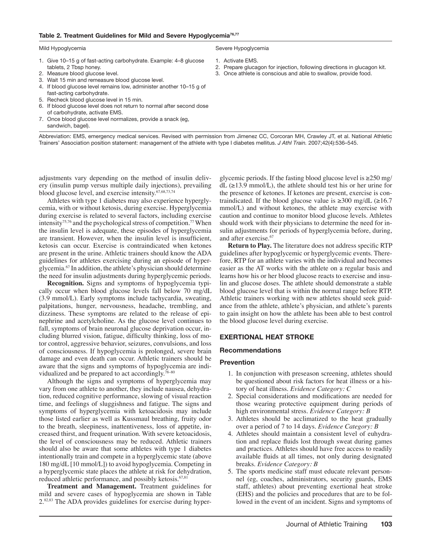#### Mild Hypoglycemia Severe Hypoglycemia

#### 1. Give 10–15 g of fast-acting carbohydrate. Example: 4–8 glucose tablets, 2 Tbsp honey.

- 2. Measure blood glucose level.
- 3. Wait 15 min and remeasure blood glucose level.
- 4. If blood glucose level remains low, administer another 10–15 g of
- fast-acting carbohydrate.
- 5. Recheck blood glucose level in 15 min.
- 6. If blood glucose level does not return to normal after second dose of carbohydrate, activate EMS.
- 7. Once blood glucose level normalizes, provide a snack (eg, sandwich, bagel).

Abbreviation: EMS, emergency medical services. Revised with permission from Jimenez CC, Corcoran MH, Crawley JT, et al. National Athletic Trainers' Association position statement: management of the athlete with type I diabetes mellitus. *J Athl Train.* 2007;42(4):536–545.

1. Activate EMS.

adjustments vary depending on the method of insulin delivery (insulin pump versus multiple daily injections), prevailing blood glucose level, and exercise intensity.<sup>67,68,73,74</sup>

Athletes with type 1 diabetes may also experience hyperglycemia, with or without ketosis, during exercise. Hyperglycemia during exercise is related to several factors, including exercise intensity75,76 and the psychological stress of competition.77 When the insulin level is adequate, these episodes of hyperglycemia are transient. However, when the insulin level is insufficient, ketosis can occur. Exercise is contraindicated when ketones are present in the urine. Athletic trainers should know the ADA guidelines for athletes exercising during an episode of hyperglycemia.67 In addition, the athlete's physician should determine the need for insulin adjustments during hyperglycemic periods.

**Recognition.** Signs and symptoms of hypoglycemia typically occur when blood glucose levels fall below 70 mg/dL (3.9 mmol/L). Early symptoms include tachycardia, sweating, palpitations, hunger, nervousness, headache, trembling, and dizziness. These symptoms are related to the release of epinephrine and acetylcholine. As the glucose level continues to fall, symptoms of brain neuronal glucose deprivation occur, including blurred vision, fatigue, difficulty thinking, loss of motor control, aggressive behavior, seizures, convulsions, and loss of consciousness. If hypoglycemia is prolonged, severe brain damage and even death can occur. Athletic trainers should be aware that the signs and symptoms of hypoglycemia are individualized and be prepared to act accordingly.<sup>78-80</sup>

Although the signs and symptoms of hyperglycemia may vary from one athlete to another, they include nausea, dehydration, reduced cognitive performance, slowing of visual reaction time, and feelings of sluggishness and fatigue. The signs and symptoms of hyperglycemia with ketoacidosis may include those listed earlier as well as Kussmaul breathing, fruity odor to the breath, sleepiness, inattentiveness, loss of appetite, increased thirst, and frequent urination. With severe ketoacidosis, the level of consciousness may be reduced. Athletic trainers should also be aware that some athletes with type 1 diabetes intentionally train and compete in a hyperglycemic state (above 180 mg/dL [10 mmol/L]) to avoid hypoglycemia. Competing in a hyperglycemic state places the athlete at risk for dehydration, reduced athletic performance, and possibly ketosis.<sup>67,81</sup>

**Treatment and Management.** Treatment guidelines for mild and severe cases of hypoglycemia are shown in Table 2.82,83 The ADA provides guidelines for exercise during hyper-

## glycemic periods. If the fasting blood glucose level is  $\geq$ 250 mg/  $dL$  ( $\geq$ 13.9 mmol/L), the athlete should test his or her urine for the presence of ketones. If ketones are present, exercise is contraindicated. If the blood glucose value is  $\geq 300$  mg/dL ( $\geq 16.7$ ) mmol/L) and without ketones, the athlete may exercise with caution and continue to monitor blood glucose levels. Athletes should work with their physicians to determine the need for insulin adjustments for periods of hyperglycemia before, during, and after exercise.<sup>67</sup>

2. Prepare glucagon for injection, following directions in glucagon kit. 3. Once athlete is conscious and able to swallow, provide food.

 **Return to Play.** The literature does not address specific RTP guidelines after hypoglycemic or hyperglycemic events. Therefore, RTP for an athlete varies with the individual and becomes easier as the AT works with the athlete on a regular basis and learns how his or her blood glucose reacts to exercise and insulin and glucose doses. The athlete should demonstrate a stable blood glucose level that is within the normal range before RTP. Athletic trainers working with new athletes should seek guidance from the athlete, athlete's physician, and athlete's parents to gain insight on how the athlete has been able to best control the blood glucose level during exercise.

#### **EXERTIONAL HEAT STROKE**

#### **Recommendations**

#### **Prevention**

- 1. In conjunction with preseason screening, athletes should be questioned about risk factors for heat illness or a history of heat illness. *Evidence Category: C*
- 2. Special considerations and modifications are needed for those wearing protective equipment during periods of high environmental stress. *Evidence Category: B*
- 3. Athletes should be acclimatized to the heat gradually over a period of 7 to 14 days. *Evidence Category: B*
- 4. Athletes should maintain a consistent level of euhydration and replace fluids lost through sweat during games and practices. Athletes should have free access to readily available fluids at all times, not only during designated breaks. *Evidence Category: B*
- 5. The sports medicine staff must educate relevant personnel (eg, coaches, administrators, security guards, EMS staff, athletes) about preventing exertional heat stroke (EHS) and the policies and procedures that are to be followed in the event of an incident. Signs and symptoms of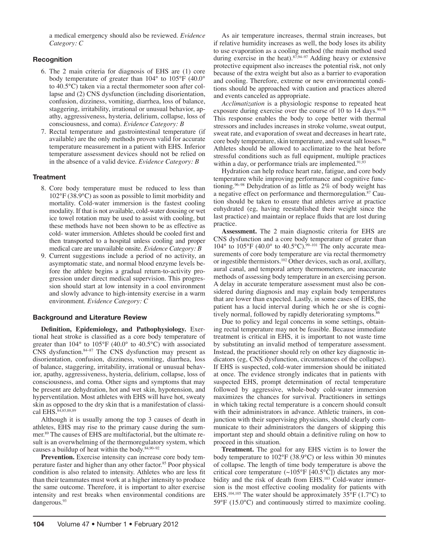a medical emergency should also be reviewed. *Evidence Category: C*

# **Recognition**

- 6. The 2 main criteria for diagnosis of EHS are (1) core body temperature of greater than 104° to 105°F (40.0° to 40.5°C) taken via a rectal thermometer soon after collapse and (2) CNS dysfunction (including disorientation, confusion, dizziness, vomiting, diarrhea, loss of balance, staggering, irritability, irrational or unusual behavior, apathy, aggressiveness, hysteria, delirium, collapse, loss of consciousness, and coma). *Evidence Category: B*
- 7. Rectal temperature and gastrointestinal temperature (if available) are the only methods proven valid for accurate temperature measurement in a patient with EHS. Inferior temperature assessment devices should not be relied on in the absence of a valid device. *Evidence Category: B*

# **Treatment**

- 8. Core body temperature must be reduced to less than 102°F (38.9°C) as soon as possible to limit morbidity and mortality. Cold-water immersion is the fastest cooling modality. If that is not available, cold-water dousing or wet ice towel rotation may be used to assist with cooling, but these methods have not been shown to be as effective as cold- water immersion. Athletes should be cooled first and then transported to a hospital unless cooling and proper medical care are unavailable onsite. *Evidence Category: B*
- 9. Current suggestions include a period of no activity, an asymptomatic state, and normal blood enzyme levels before the athlete begins a gradual return-to-activity progression under direct medical supervision. This progression should start at low intensity in a cool environment and slowly advance to high-intensity exercise in a warm environment. *Evidence Category: C*

# **Background and Literature Review**

 **Definition, Epidemiology, and Pathophysiology.** Exertional heat stroke is classified as a core body temperature of greater than 104° to 105°F (40.0° to 40.5°C) with associated CNS dysfunction.84–87 The CNS dysfunction may present as disorientation, confusion, dizziness, vomiting, diarrhea, loss of balance, staggering, irritability, irrational or unusual behavior, apathy, aggressiveness, hysteria, delirium, collapse, loss of consciousness, and coma. Other signs and symptoms that may be present are dehydration, hot and wet skin, hypotension, and hyperventilation. Most athletes with EHS will have hot, sweaty skin as opposed to the dry skin that is a manifestation of classical EHS. 84,85,88,89

Although it is usually among the top 3 causes of death in athletes, EHS may rise to the primary cause during the summer.89 The causes of EHS are multifactorial, but the ultimate result is an overwhelming of the thermoregulatory system, which causes a buildup of heat within the body.84,90–92

Prevention. Exercise intensity can increase core body temperature faster and higher than any other factor.<sup>85</sup> Poor physical condition is also related to intensity. Athletes who are less fit than their teammates must work at a higher intensity to produce the same outcome. Therefore, it is important to alter exercise intensity and rest breaks when environmental conditions are dangerous.<sup>93</sup>

As air temperature increases, thermal strain increases, but if relative humidity increases as well, the body loses its ability to use evaporation as a cooling method (the main method used during exercise in the heat). $87,94-97$  Adding heavy or extensive protective equipment also increases the potential risk, not only because of the extra weight but also as a barrier to evaporation and cooling. Therefore, extreme or new environmental conditions should be approached with caution and practices altered and events canceled as appropriate.

*Acclimatization* is a physiologic response to repeated heat exposure during exercise over the course of 10 to 14 days.  $90,98$ This response enables the body to cope better with thermal stressors and includes increases in stroke volume, sweat output, sweat rate, and evaporation of sweat and decreases in heart rate, core body temperature, skin temperature, and sweat salt losses.<sup>90</sup> Athletes should be allowed to acclimatize to the heat before stressful conditions such as full equipment, multiple practices within a day, or performance trials are implemented.<sup>91,93</sup>

Hydration can help reduce heart rate, fatigue, and core body temperature while improving performance and cognitive functioning.<sup>96–98</sup> Dehydration of as little as  $2\%$  of body weight has a negative effect on performance and thermoregulation.<sup>87</sup> Caution should be taken to ensure that athletes arrive at practice euhydrated (eg, having reestablished their weight since the last practice) and maintain or replace fluids that are lost during practice.

Assessment. The 2 main diagnostic criteria for EHS are CNS dysfunction and a core body temperature of greater than  $104^\circ$  to  $105^\circ$ F (40.0° to  $40.5^\circ$ C).<sup>99-101</sup> The only accurate measurements of core body temperature are via rectal thermometry or ingestible thermistors.<sup>102</sup> Other devices, such as oral, axillary, aural canal, and temporal artery thermometers, are inaccurate methods of assessing body temperature in an exercising person. A delay in accurate temperature assessment must also be considered during diagnosis and may explain body temperatures that are lower than expected. Lastly, in some cases of EHS, the patient has a lucid interval during which he or she is cognitively normal, followed by rapidly deteriorating symptoms.<sup>86</sup>

Due to policy and legal concerns in some settings, obtaining rectal temperature may not be feasible. Because immediate treatment is critical in EHS, it is important to not waste time by substituting an invalid method of temperature assessment. Instead, the practitioner should rely on other key diagnostic indicators (eg, CNS dysfunction, circumstances of the collapse). If EHS is suspected, cold-water immersion should be initiated at once. The evidence strongly indicates that in patients with suspected EHS, prompt determination of rectal temperature followed by aggressive, whole-body cold-water immersion maximizes the chances for survival. Practitioners in settings in which taking rectal temperature is a concern should consult with their administrators in advance. Athletic trainers, in conjunction with their supervising physicians, should clearly communicate to their administrators the dangers of skipping this important step and should obtain a definitive ruling on how to proceed in this situation.

**Treatment.** The goal for any EHS victim is to lower the body temperature to 102°F (38.9°C) or less within 30 minutes of collapse. The length of time body temperature is above the critical core temperature  $(\sim 105^{\circ}F [40.5^{\circ}C])$  dictates any morbidity and the risk of death from EHS.<sup>103</sup> Cold-water immersion is the most effective cooling modality for patients with EHS.<sup>104,105</sup> The water should be approximately  $35^{\circ}F$  (1.7 $^{\circ}C$ ) to 59°F (15.0°C) and continuously stirred to maximize cooling.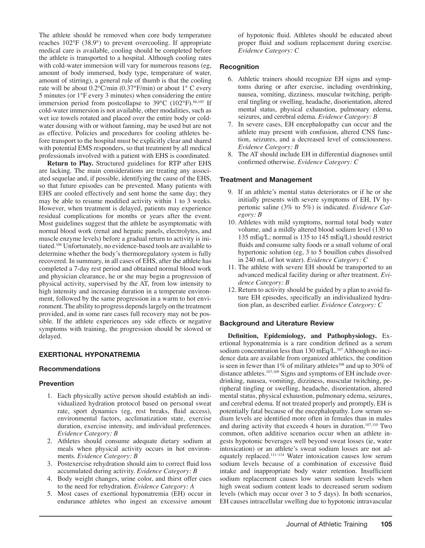The athlete should be removed when core body temperature reaches 102°F (38.9°) to prevent overcooling. If appropriate medical care is available, cooling should be completed before the athlete is transported to a hospital. Although cooling rates with cold-water immersion will vary for numerous reasons (eg, amount of body immersed, body type, temperature of water, amount of stirring), a general rule of thumb is that the cooling rate will be about 0.2°C/min (0.37°F/min) or about 1° C every 5 minutes (or 1°F every 3 minutes) when considering the entire immersion period from postcollapse to  $39^{\circ}$ C (102 $^{\circ}$ F).<sup>86,105</sup> If cold-water immersion is not available, other modalities, such as wet ice towels rotated and placed over the entire body or coldwater dousing with or without fanning, may be used but are not as effective. Policies and procedures for cooling athletes before transport to the hospital must be explicitly clear and shared with potential EMS responders, so that treatment by all medical professionals involved with a patient with EHS is coordinated.

 **Return to Play.** Structured guidelines for RTP after EHS are lacking. The main considerations are treating any associated sequelae and, if possible, identifying the cause of the EHS, so that future episodes can be prevented. Many patients with EHS are cooled effectively and sent home the same day; they may be able to resume modified activity within 1 to 3 weeks. However, when treatment is delayed, patients may experience residual complications for months or years after the event. Most guidelines suggest that the athlete be asymptomatic with normal blood work (renal and hepatic panels, electrolytes, and muscle enzyme levels) before a gradual return to activity is initiated.106 Unfortunately, no evidence-based tools are available to determine whether the body's thermoregulatory system is fully recovered. In summary, in all cases of EHS, after the athlete has completed a 7-day rest period and obtained normal blood work and physician clearance, he or she may begin a progression of physical activity, supervised by the AT, from low intensity to high intensity and increasing duration in a temperate environment, followed by the same progression in a warm to hot environment. The ability to progress depends largely on the treatment provided, and in some rare cases full recovery may not be possible. If the athlete experiences any side effects or negative symptoms with training, the progression should be slowed or delayed.

# **EXERTIONAL HYPONATREMIA**

## **Recommendations**

#### **Prevention**

- 1. Each physically active person should establish an individualized hydration protocol based on personal sweat rate, sport dynamics (eg, rest breaks, fluid access), environmental factors, acclimatization state, exercise duration, exercise intensity, and individual preferences. *Evidence Category: B*
- 2. Athletes should consume adequate dietary sodium at meals when physical activity occurs in hot environments. *Evidence Category: B*
- 3. Postexercise rehydration should aim to correct fluid loss accumulated during activity. *Evidence Category: B*
- 4. Body weight changes, urine color, and thirst offer cues to the need for rehydration. *Evidence Category: A*
- 5. Most cases of exertional hyponatremia (EH) occur in endurance athletes who ingest an excessive amount

of hypotonic fluid. Athletes should be educated about proper fluid and sodium replacement during exercise. *Evidence Category: C*

# **Recognition**

- 6. Athletic trainers should recognize EH signs and symptoms during or after exercise, including overdrinking, nausea, vomiting, dizziness, muscular twitching, peripheral tingling or swelling, headache, disorientation, altered mental status, physical exhaustion, pulmonary edema, seizures, and cerebral edema. *Evidence Category: B*
- 7. In severe cases, EH encephalopathy can occur and the athlete may present with confusion, altered CNS function, seizures, and a decreased level of consciousness. *Evidence Category: B*
- 8. The AT should include EH in differential diagnoses until confirmed otherwise. *Evidence Category: C*

# **Treatment and Management**

- 9. If an athlete's mental status deteriorates or if he or she initially presents with severe symptoms of EH, IV hypertonic saline (3% to 5%) is indicated. *Evidence Category: B*
- 10. Athletes with mild symptoms, normal total body water volume, and a mildly altered blood sodium level (130 to 135 mEq/L; normal is 135 to 145 mEq/L) should restrict fluids and consume salty foods or a small volume of oral hypertonic solution (eg, 3 to 5 bouillon cubes dissolved in 240 mL of hot water). *Evidence Category: C*
- 11. The athlete with severe EH should be transported to an advanced medical facility during or after treatment. *Evidence Category: B*
- 12. Return to activity should be guided by a plan to avoid future EH episodes, specifically an individualized hydration plan, as described earlier. *Evidence Category: C*

## **Background and Literature Review**

 **Definition, Epidemiology, and Pathophysiology.** Exertional hyponatremia is a rare condition defined as a serum sodium concentration less than  $130 \text{ mEq/L}$ .<sup>107</sup> Although no incidence data are available from organized athletics, the condition is seen in fewer than 1% of military athletes<sup>108</sup> and up to 30% of distance athletes.<sup>107,109</sup> Signs and symptoms of EH include overdrinking, nausea, vomiting, dizziness, muscular twitching, peripheral tingling or swelling, headache, disorientation, altered mental status, physical exhaustion, pulmonary edema, seizures, and cerebral edema. If not treated properly and promptly, EH is potentially fatal because of the encephalopathy. Low serum sodium levels are identified more often in females than in males and during activity that exceeds 4 hours in duration.<sup>107,110</sup> Two common, often additive scenarios occur when an athlete ingests hypotonic beverages well beyond sweat losses (ie, water intoxication) or an athlete's sweat sodium losses are not adequately replaced.111–114 Water intoxication causes low serum sodium levels because of a combination of excessive fluid intake and inappropriate body water retention. Insufficient sodium replacement causes low serum sodium levels when high sweat sodium content leads to decreased serum sodium levels (which may occur over 3 to 5 days). In both scenarios, EH causes intracellular swelling due to hypotonic intravascular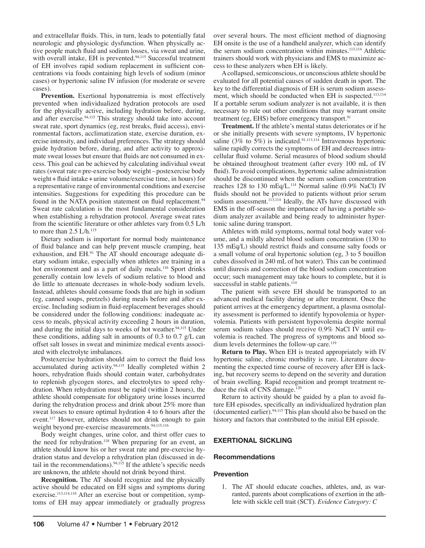and extracellular fluids. This, in turn, leads to potentially fatal neurologic and physiologic dysfunction. When physically active people match fluid and sodium losses, via sweat and urine, with overall intake, EH is prevented.<sup>94,115</sup> Successful treatment of EH involves rapid sodium replacement in sufficient concentrations via foods containing high levels of sodium (minor cases) or hypertonic saline IV infusion (for moderate or severe cases).

Prevention. Exertional hyponatremia is most effectively prevented when individualized hydration protocols are used for the physically active, including hydration before, during, and after exercise.<sup>94,115</sup> This strategy should take into account sweat rate, sport dynamics (eg, rest breaks, fluid access), environmental factors, acclimatization state, exercise duration, exercise intensity, and individual preferences. The strategy should guide hydration before, during, and after activity to approximate sweat losses but ensure that fluids are not consumed in excess. This goal can be achieved by calculating individual sweat rates (sweat rate=pre-exercise body weight –postexercise body weight+fluid intake+urine volume/exercise time, in hours) for a representative range of environmental conditions and exercise intensities. Suggestions for expediting this procedure can be found in the NATA position statement on fluid replacement.<sup>94</sup> Sweat rate calculation is the most fundamental consideration when establishing a rehydration protocol. Average sweat rates from the scientific literature or other athletes vary from 0.5 L/h to more than 2.5 L/h.<sup>115</sup>

Dietary sodium is important for normal body maintenance of fluid balance and can help prevent muscle cramping, heat exhaustion, and EH.<sup>91</sup> The AT should encourage adequate dietary sodium intake, especially when athletes are training in a hot environment and as a part of daily meals.<sup>116</sup> Sport drinks generally contain low levels of sodium relative to blood and do little to attenuate decreases in whole-body sodium levels. Instead, athletes should consume foods that are high in sodium (eg, canned soups, pretzels) during meals before and after exercise. Including sodium in fluid-replacement beverages should be considered under the following conditions: inadequate access to meals, physical activity exceeding 2 hours in duration, and during the initial days to weeks of hot weather.<sup>94,115</sup> Under these conditions, adding salt in amounts of 0.3 to 0.7 g/L can offset salt losses in sweat and minimize medical events associated with electrolyte imbalances.

Postexercise hydration should aim to correct the fluid loss accumulated during activity.<sup>94,115</sup> Ideally completed within 2 hours, rehydration fluids should contain water, carbohydrates to replenish glycogen stores, and electrolytes to speed rehydration. When rehydration must be rapid (within 2 hours), the athlete should compensate for obligatory urine losses incurred during the rehydration process and drink about 25% more than sweat losses to ensure optimal hydration 4 to 6 hours after the event.<sup>117</sup> However, athletes should not drink enough to gain weight beyond pre-exercise measurements.<sup>94,115,116</sup>

Body weight changes, urine color, and thirst offer cues to the need for rehydration.<sup>118</sup> When preparing for an event, an athlete should know his or her sweat rate and pre-exercise hydration status and develop a rehydration plan (discussed in detail in the recommendations).  $94,115$  If the athlete's specific needs are unknown, the athlete should not drink beyond thirst.

**Recognition.** The AT should recognize and the physically active should be educated on EH signs and symptoms during exercise.<sup>113,114,116</sup> After an exercise bout or competition, symptoms of EH may appear immediately or gradually progress

over several hours. The most efficient method of diagnosing EH onsite is the use of a handheld analyzer, which can identify the serum sodium concentration within minutes.<sup>113,114</sup> Athletic trainers should work with physicians and EMS to maximize access to these analyzers when EH is likely.

A collapsed, semiconscious, or unconscious athlete should be evaluated for all potential causes of sudden death in sport. The key to the differential diagnosis of EH is serum sodium assessment, which should be conducted when EH is suspected.<sup>113,114</sup> If a portable serum sodium analyzer is not available, it is then necessary to rule out other conditions that may warrant onsite treatment (eg, EHS) before emergency transport. $91$ 

**Treatment.** If the athlete's mental status deteriorates or if he or she initially presents with severe symptoms, IV hypertonic saline (3% to 5%) is indicated.<sup>91,113,114</sup> Intravenous hypertonic saline rapidly corrects the symptoms of EH and decreases intracellular fluid volume. Serial measures of blood sodium should be obtained throughout treatment (after every 100 mL of IV fluid). To avoid complications, hypertonic saline administration should be discontinued when the serum sodium concentration reaches 128 to 130 mEq/L.<sup>114</sup> Normal saline (0.9% NaCl) IV fluids should not be provided to patients without prior serum sodium assessment.<sup>113,114</sup> Ideally, the ATs have discussed with EMS in the off-season the importance of having a portable sodium analyzer available and being ready to administer hypertonic saline during transport.

Athletes with mild symptoms, normal total body water volume, and a mildly altered blood sodium concentration (130 to 135 mEq/L) should restrict fluids and consume salty foods or a small volume of oral hypertonic solution (eg, 3 to 5 bouillon cubes dissolved in 240 mL of hot water). This can be continued until diuresis and correction of the blood sodium concentration occur; such management may take hours to complete, but it is successful in stable patients.<sup>114</sup>

The patient with severe EH should be transported to an advanced medical facility during or after treatment. Once the patient arrives at the emergency department, a plasma osmolality assessment is performed to identify hypovolemia or hypervolemia. Patients with persistent hypovolemia despite normal serum sodium values should receive 0.9% NaCl IV until euvolemia is reached. The progress of symptoms and blood sodium levels determines the follow-up care.<sup>119</sup>

 **Return to Play.** When EH is treated appropriately with IV hypertonic saline, chronic morbidity is rare. Literature documenting the expected time course of recovery after EH is lacking, but recovery seems to depend on the severity and duration of brain swelling. Rapid recognition and prompt treatment reduce the risk of CNS damage.<sup>120</sup>

Return to activity should be guided by a plan to avoid future EH episodes, specifically an individualized hydration plan (documented earlier).  $94,115$  This plan should also be based on the history and factors that contributed to the initial EH episode.

# **EXERTIONAL SICKLING**

#### **Recommendations**

# **Prevention**

1. The AT should educate coaches, athletes, and, as warranted, parents about complications of exertion in the athlete with sickle cell trait (SCT). *Evidence Category: C*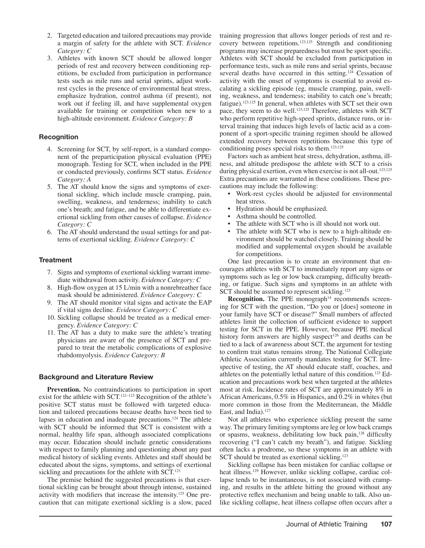- 2. Targeted education and tailored precautions may provide a margin of safety for the athlete with SCT. *Evidence Category: C*
- 3. Athletes with known SCT should be allowed longer periods of rest and recovery between conditioning repetitions, be excluded from participation in performance tests such as mile runs and serial sprints, adjust workrest cycles in the presence of environmental heat stress, emphasize hydration, control asthma (if present), not work out if feeling ill, and have supplemental oxygen available for training or competition when new to a high-altitude environment. *Evidence Category: B*

# **Recognition**

- 4. Screening for SCT, by self-report, is a standard component of the preparticipation physical evaluation (PPE) monograph. Testing for SCT, when included in the PPE or conducted previously, confirms SCT status. *Evidence Category: A*
- 5. The AT should know the signs and symptoms of exertional sickling, which include muscle cramping, pain, swelling, weakness, and tenderness; inability to catch one's breath; and fatigue, and be able to differentiate exertional sickling from other causes of collapse. *Evidence Category: C*
- 6. The AT should understand the usual settings for and patterns of exertional sickling. *Evidence Category: C*

## **Treatment**

- 7. Signs and symptoms of exertional sickling warrant immediate withdrawal from activity. *Evidence Category: C*
- 8. High-flow oxygen at 15 L/min with a nonrebreather face mask should be administered. *Evidence Category: C*
- 9. The AT should monitor vital signs and activate the EAP if vital signs decline. *Evidence Category: C*
- 10. Sickling collapse should be treated as a medical emergency. *Evidence Category: C*
- 11. The AT has a duty to make sure the athlete's treating physicians are aware of the presence of SCT and prepared to treat the metabolic complications of explosive rhabdomyolysis. *Evidence Category: B*

## **Background and Literature Review**

**Prevention.** No contraindications to participation in sport exist for the athlete with SCT.<sup>121–123</sup> Recognition of the athlete's positive SCT status must be followed with targeted education and tailored precautions because deaths have been tied to lapses in education and inadequate precautions.<sup>124</sup> The athlete with SCT should be informed that SCT is consistent with a normal, healthy life span, although associated complications may occur. Education should include genetic considerations with respect to family planning and questioning about any past medical history of sickling events. Athletes and staff should be educated about the signs, symptoms, and settings of exertional sickling and precautions for the athlete with SCT.<sup>123</sup>

The premise behind the suggested precautions is that exertional sickling can be brought about through intense, sustained activity with modifiers that increase the intensity.125 One precaution that can mitigate exertional sickling is a slow, paced

training progression that allows longer periods of rest and recovery between repetitions.123,125 Strength and conditioning programs may increase preparedness but must be sport specific. Athletes with SCT should be excluded from participation in performance tests, such as mile runs and serial sprints, because several deaths have occurred in this setting.<sup>124</sup> Cessation of activity with the onset of symptoms is essential to avoid escalating a sickling episode (eg, muscle cramping, pain, swelling, weakness, and tenderness; inability to catch one's breath; fatigue).123,125 In general, when athletes with SCT set their own pace, they seem to do well.<sup>123,125</sup> Therefore, athletes with SCT who perform repetitive high-speed sprints, distance runs, or interval training that induces high levels of lactic acid as a component of a sport-specific training regimen should be allowed extended recovery between repetitions because this type of conditioning poses special risks to them.<sup>123,125</sup>

Factors such as ambient heat stress, dehydration, asthma, illness, and altitude predispose the athlete with SCT to a crisis during physical exertion, even when exercise is not all-out.<sup>123,125</sup> Extra precautions are warranted in these conditions. These precautions may include the following:

- Work-rest cycles should be adjusted for environmental heat stress.
- Hydration should be emphasized.
- Asthma should be controlled.
- The athlete with SCT who is ill should not work out.
- The athlete with SCT who is new to a high-altitude environment should be watched closely. Training should be modified and supplemental oxygen should be available for competitions.

One last precaution is to create an environment that encourages athletes with SCT to immediately report any signs or symptoms such as leg or low back cramping, difficulty breathing, or fatigue. Such signs and symptoms in an athlete with SCT should be assumed to represent sickling.<sup>123</sup>

**Recognition.** The PPE monograph<sup>14</sup> recommends screening for SCT with the question, "Do you or [does] someone in your family have SCT or disease?" Small numbers of affected athletes limit the collection of sufficient evidence to support testing for SCT in the PPE. However, because PPE medical history form answers are highly suspect<sup>126</sup> and deaths can be tied to a lack of awareness about SCT, the argument for testing to confirm trait status remains strong. The National Collegiate Athletic Association currently mandates testing for SCT. Irrespective of testing, the AT should educate staff, coaches, and athletes on the potentially lethal nature of this condition.123 Education and precautions work best when targeted at the athletes most at risk. Incidence rates of SCT are approximately 8% in African Americans, 0.5% in Hispanics, and 0.2% in whites (but more common in those from the Mediterranean, the Middle East, and India).<sup>127</sup>

Not all athletes who experience sickling present the same way. The primary limiting symptoms are leg or low back cramps or spasms, weakness, debilitating low back pain,<sup>128</sup> difficulty recovering ("I can't catch my breath"), and fatigue. Sickling often lacks a prodrome, so these symptoms in an athlete with SCT should be treated as exertional sickling.<sup>123</sup>

Sickling collapse has been mistaken for cardiac collapse or heat illness.<sup>129</sup> However, unlike sickling collapse, cardiac collapse tends to be instantaneous, is not associated with cramping, and results in the athlete hitting the ground without any protective reflex mechanism and being unable to talk. Also unlike sickling collapse, heat illness collapse often occurs after a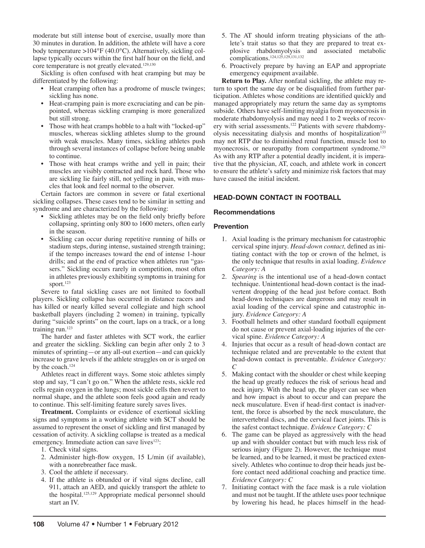moderate but still intense bout of exercise, usually more than 30 minutes in duration. In addition, the athlete will have a core body temperature >104°F (40.0°C). Alternatively, sickling collapse typically occurs within the first half hour on the field, and core temperature is not greatly elevated.<sup>129,130</sup>

Sickling is often confused with heat cramping but may be differentiated by the following:

- Heat cramping often has a prodrome of muscle twinges; sickling has none.
- Heat-cramping pain is more excruciating and can be pinpointed, whereas sickling cramping is more generalized but still strong.
- Those with heat cramps hobble to a halt with "locked-up" muscles, whereas sickling athletes slump to the ground with weak muscles. Many times, sickling athletes push through several instances of collapse before being unable to continue.
- Those with heat cramps writhe and yell in pain; their muscles are visibly contracted and rock hard. Those who are sickling lie fairly still, not yelling in pain, with muscles that look and feel normal to the observer.

Certain factors are common in severe or fatal exertional sickling collapses. These cases tend to be similar in setting and syndrome and are characterized by the following:

- Sickling athletes may be on the field only briefly before collapsing, sprinting only 800 to 1600 meters, often early in the season.
- Sickling can occur during repetitive running of hills or stadium steps, during intense, sustained strength training; if the tempo increases toward the end of intense 1-hour drills; and at the end of practice when athletes run "gassers." Sickling occurs rarely in competition, most often in athletes previously exhibiting symptoms in training for sport.<sup>123</sup>

Severe to fatal sickling cases are not limited to football players. Sickling collapse has occurred in distance racers and has killed or nearly killed several collegiate and high school basketball players (including 2 women) in training, typically during "suicide sprints" on the court, laps on a track, or a long training run.<sup>123</sup>

The harder and faster athletes with SCT work, the earlier and greater the sickling. Sickling can begin after only 2 to 3 minutes of sprinting—or any all-out exertion—and can quickly increase to grave levels if the athlete struggles on or is urged on by the coach.<sup>124</sup>

Athletes react in different ways. Some stoic athletes simply stop and say, "I can't go on." When the athlete rests, sickle red cells regain oxygen in the lungs; most sickle cells then revert to normal shape, and the athlete soon feels good again and ready to continue. This self-limiting feature surely saves lives.

**Treatment.** Complaints or evidence of exertional sickling signs and symptoms in a working athlete with SCT should be assumed to represent the onset of sickling and first managed by cessation of activity. A sickling collapse is treated as a medical emergency. Immediate action can save lives<sup>123</sup>:

- 1. Check vital signs.
- 2. Administer high-flow oxygen, 15 L/min (if available), with a nonrebreather face mask.
- 3. Cool the athlete if necessary.
- 4. If the athlete is obtunded or if vital signs decline, call 911, attach an AED, and quickly transport the athlete to the hospital.125,129 Appropriate medical personnel should start an IV.
- 5. The AT should inform treating physicians of the athlete's trait status so that they are prepared to treat explosive rhabdomyolysis and associated metabolic complications.124,125,129,131,132
- 6. Proactively prepare by having an EAP and appropriate emergency equipment available.

 **Return to Play.** After nonfatal sickling, the athlete may return to sport the same day or be disqualified from further participation. Athletes whose conditions are identified quickly and managed appropriately may return the same day as symptoms subside. Others have self-limiting myalgia from myonecrosis in moderate rhabdomyolysis and may need 1 to 2 weeks of recovery with serial assessments.<sup>122</sup> Patients with severe rhabdomyolysis necessitating dialysis and months of hospitalization<sup>133</sup> may not RTP due to diminished renal function, muscle lost to myonecrosis, or neuropathy from compartment syndrome.<sup>121</sup> As with any RTP after a potential deadly incident, it is imperative that the physician, AT, coach, and athlete work in concert to ensure the athlete's safety and minimize risk factors that may have caused the initial incident.

# **HEAD-DOWN CONTACT IN FOOTBALL**

# **Recommendations**

# **Prevention**

- 1. Axial loading is the primary mechanism for catastrophic cervical spine injury. *Head-down contact,* defined as initiating contact with the top or crown of the helmet, is the only technique that results in axial loading. *Evidence Category: A*
- 2. *Spearing* is the intentional use of a head-down contact technique. Unintentional head-down contact is the inadvertent dropping of the head just before contact. Both head-down techniques are dangerous and may result in axial loading of the cervical spine and catastrophic injury. *Evidence Category: A*
- 3. Football helmets and other standard football equipment do not cause or prevent axial-loading injuries of the cervical spine. *Evidence Category: A*
- 4. Injuries that occur as a result of head-down contact are technique related and are preventable to the extent that head-down contact is preventable. *Evidence Category: C*
- 5. Making contact with the shoulder or chest while keeping the head up greatly reduces the risk of serious head and neck injury. With the head up, the player can see when and how impact is about to occur and can prepare the neck musculature. Even if head-first contact is inadvertent, the force is absorbed by the neck musculature, the intervertebral discs, and the cervical facet joints. This is the safest contact technique. *Evidence Category: C*
- 6. The game can be played as aggressively with the head up and with shoulder contact but with much less risk of serious injury (Figure 2). However, the technique must be learned, and to be learned, it must be practiced extensively. Athletes who continue to drop their heads just before contact need additional coaching and practice time. *Evidence Category: C*
- 7. Initiating contact with the face mask is a rule violation and must not be taught. If the athlete uses poor technique by lowering his head, he places himself in the head-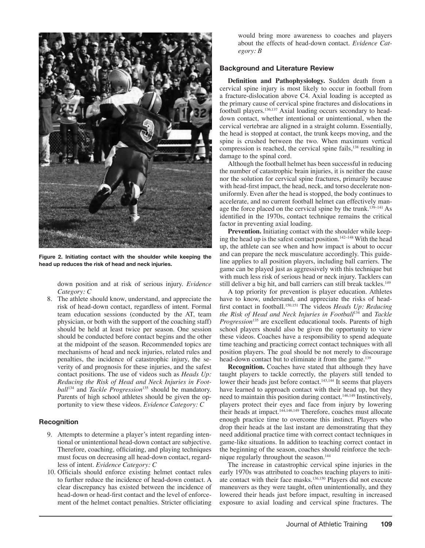

**Figure 2. Initiating contact with the shoulder while keeping the head up reduces the risk of head and neck injuries.**

down position and at risk of serious injury. *Evidence Category: C*

8. The athlete should know, understand, and appreciate the risk of head-down contact, regardless of intent. Formal team education sessions (conducted by the AT, team physician, or both with the support of the coaching staff) should be held at least twice per season. One session should be conducted before contact begins and the other at the midpoint of the season. Recommended topics are mechanisms of head and neck injuries, related rules and penalties, the incidence of catastrophic injury, the severity of and prognosis for these injuries, and the safest contact positions. The use of videos such as *Heads Up: Reducing the Risk of Head and Neck Injuries in Football*134 and *Tackle Progression*<sup>135</sup> should be mandatory. Parents of high school athletes should be given the opportunity to view these videos. *Evidence Category: C*

# **Recognition**

- 9. Attempts to determine a player's intent regarding intentional or unintentional head-down contact are subjective. Therefore, coaching, officiating, and playing techniques must focus on decreasing all head-down contact, regardless of intent. *Evidence Category: C*
- 10. Officials should enforce existing helmet contact rules to further reduce the incidence of head-down contact. A clear discrepancy has existed between the incidence of head-down or head-first contact and the level of enforcement of the helmet contact penalties. Stricter officiating

would bring more awareness to coaches and players about the effects of head-down contact. *Evidence Category: B*

## **Background and Literature Review**

 **Definition and Pathophysiology.** Sudden death from a cervical spine injury is most likely to occur in football from a fracture-dislocation above C4. Axial loading is accepted as the primary cause of cervical spine fractures and dislocations in football players.136,137 Axial loading occurs secondary to headdown contact, whether intentional or unintentional, when the cervical vertebrae are aligned in a straight column. Essentially, the head is stopped at contact, the trunk keeps moving, and the spine is crushed between the two. When maximum vertical compression is reached, the cervical spine fails,<sup>138</sup> resulting in damage to the spinal cord.

Although the football helmet has been successful in reducing the number of catastrophic brain injuries, it is neither the cause nor the solution for cervical spine fractures, primarily because with head-first impact, the head, neck, and torso decelerate nonuniformly. Even after the head is stopped, the body continues to accelerate, and no current football helmet can effectively manage the force placed on the cervical spine by the trunk.<sup>139–141</sup> As identified in the 1970s, contact technique remains the critical factor in preventing axial loading.

**Prevention.** Initiating contact with the shoulder while keeping the head up is the safest contact position.<sup>142-148</sup> With the head up, the athlete can see when and how impact is about to occur and can prepare the neck musculature accordingly. This guideline applies to all position players, including ball carriers. The game can be played just as aggressively with this technique but with much less risk of serious head or neck injury. Tacklers can still deliver a big hit, and ball carriers can still break tackles.<sup>149</sup>

A top priority for prevention is player education. Athletes have to know, understand, and appreciate the risks of headfirst contact in football.150,151 The videos *Heads Up: Reducing the Risk of Head and Neck Injuries in Football*134 and *Tackle Progression*<sup>135</sup> are excellent educational tools. Parents of high school players should also be given the opportunity to view these videos. Coaches have a responsibility to spend adequate time teaching and practicing correct contact techniques with all position players. The goal should be not merely to discourage head-down contact but to eliminate it from the game.<sup>139</sup>

**Recognition.** Coaches have stated that although they have taught players to tackle correctly, the players still tended to lower their heads just before contact.<sup>143,144</sup> It seems that players have learned to approach contact with their head up, but they need to maintain this position during contact.146,149 Instinctively, players protect their eyes and face from injury by lowering their heads at impact.<sup>144,146,149</sup> Therefore, coaches must allocate enough practice time to overcome this instinct. Players who drop their heads at the last instant are demonstrating that they need additional practice time with correct contact techniques in game-like situations. In addition to teaching correct contact in the beginning of the season, coaches should reinforce the technique regularly throughout the season.<sup>144</sup>

The increase in catastrophic cervical spine injuries in the early 1970s was attributed to coaches teaching players to initiate contact with their face masks.136,150 Players did not execute maneuvers as they were taught, often unintentionally, and they lowered their heads just before impact, resulting in increased exposure to axial loading and cervical spine fractures. The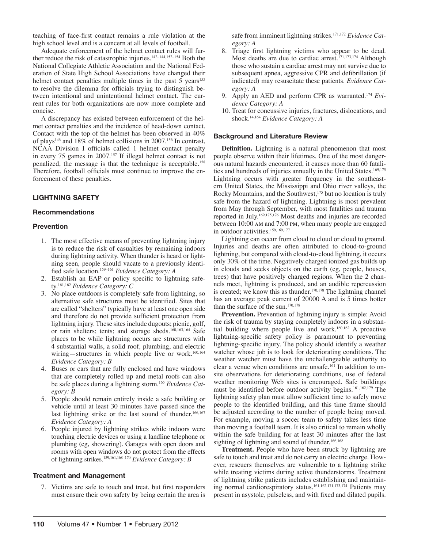teaching of face-first contact remains a rule violation at the high school level and is a concern at all levels of football.

Adequate enforcement of the helmet contact rules will further reduce the risk of catastrophic injuries.<sup>142–144,152–154</sup> Both the National Collegiate Athletic Association and the National Federation of State High School Associations have changed their helmet contact penalties multiple times in the past 5 years<sup>155</sup> to resolve the dilemma for officials trying to distinguish between intentional and unintentional helmet contact. The current rules for both organizations are now more complete and concise.

A discrepancy has existed between enforcement of the helmet contact penalties and the incidence of head-down contact. Contact with the top of the helmet has been observed in 40% of plays146 and 18% of helmet collisions in 2007.156 In contrast, NCAA Division I officials called 1 helmet contact penalty in every 75 games in 2007.157 If illegal helmet contact is not penalized, the message is that the technique is acceptable.158 Therefore, football officials must continue to improve the enforcement of these penalties.

# **LIGHTNING SAFETY**

## **Recommendations**

## **Prevention**

- 1. The most effective means of preventing lightning injury is to reduce the risk of casualties by remaining indoors during lightning activity. When thunder is heard or lightning seen, people should vacate to a previously identified safe location.159–161 *Evidence Category: A*
- 2. Establish an EAP or policy specific to lightning safety.161,162 *Evidence Category: C*
- 3. No place outdoors is completely safe from lightning, so alternative safe structures must be identified. Sites that are called "shelters" typically have at least one open side and therefore do not provide sufficient protection from lightning injury. These sites include dugouts; picnic, golf, or rain shelters; tents; and storage sheds.<sup>160,163,164</sup> Safe places to be while lightning occurs are structures with 4 substantial walls, a solid roof, plumbing, and electric wiring—structures in which people live or work.<sup>160,164</sup> *Evidence Category: B*
- 4. Buses or cars that are fully enclosed and have windows that are completely rolled up and metal roofs can also be safe places during a lightning storm.<sup>165</sup> *Evidence Category: B*
- 5. People should remain entirely inside a safe building or vehicle until at least 30 minutes have passed since the last lightning strike or the last sound of thunder.<sup>166,167</sup> *Evidence Category: A*
- 6. People injured by lightning strikes while indoors were touching electric devices or using a landline telephone or plumbing (eg, showering). Garages with open doors and rooms with open windows do not protect from the effects of lightning strikes.159,161,168–170 *Evidence Category: B*

# **Treatment and Management**

7. Victims are safe to touch and treat, but first responders must ensure their own safety by being certain the area is safe from imminent lightning strikes.171,172 *Evidence Category: A*

- 8. Triage first lightning victims who appear to be dead. Most deaths are due to cardiac arrest.<sup>171,173,174</sup> Although those who sustain a cardiac arrest may not survive due to subsequent apnea, aggressive CPR and defibrillation (if indicated) may resuscitate these patients. *Evidence Category: A*
- 9. Apply an AED and perform CPR as warranted.174 *Evidence Category: A*
- 10. Treat for concussive injuries, fractures, dislocations, and shock.14,164 *Evidence Category: A*

#### **Background and Literature Review**

**Definition.** Lightning is a natural phenomenon that most people observe within their lifetimes. One of the most dangerous natural hazards encountered, it causes more than 60 fatalities and hundreds of injuries annually in the United States.<sup>169,175</sup> Lightning occurs with greater frequency in the southeastern United States, the Mississippi and Ohio river valleys, the Rocky Mountains, and the Southwest,<sup>175</sup> but no location is truly safe from the hazard of lightning. Lightning is most prevalent from May through September, with most fatalities and trauma reported in July.<sup>169,175,176</sup> Most deaths and injuries are recorded between 10:00 am and 7:00 pm, when many people are engaged in outdoor activities.<sup>159,169,177</sup>

Lightning can occur from cloud to cloud or cloud to ground. Injuries and deaths are often attributed to cloud-to-ground lightning, but compared with cloud-to-cloud lightning, it occurs only 30% of the time. Negatively charged ionized gas builds up in clouds and seeks objects on the earth (eg, people, houses, trees) that have positively charged regions. When the 2 channels meet, lightning is produced, and an audible repercussion is created; we know this as thunder.<sup>170,178</sup> The lightning channel has an average peak current of 20000 A and is 5 times hotter than the surface of the sun.170,178

**Prevention.** Prevention of lightning injury is simple: Avoid the risk of trauma by staying completely indoors in a substantial building where people live and work.160,162 A proactive lightning-specific safety policy is paramount to preventing lightning-specific injury. The policy should identify a weather watcher whose job is to look for deteriorating conditions. The weather watcher must have the unchallengeable authority to clear a venue when conditions are unsafe.161 In addition to onsite observations for deteriorating conditions, use of federal weather monitoring Web sites is encouraged. Safe buildings must be identified before outdoor activity begins.161,162,179 The lightning safety plan must allow sufficient time to safely move people to the identified building, and this time frame should be adjusted according to the number of people being moved. For example, moving a soccer team to safety takes less time than moving a football team. It is also critical to remain wholly within the safe building for at least 30 minutes after the last sighting of lightning and sound of thunder.<sup>166,168</sup>

Treatment. People who have been struck by lightning are safe to touch and treat and do not carry an electric charge. However, rescuers themselves are vulnerable to a lightning strike while treating victims during active thunderstorms. Treatment of lightning strike patients includes establishing and maintaining normal cardiorespiratory status.161,162,171,173,174 Patients may present in asystole, pulseless, and with fixed and dilated pupils.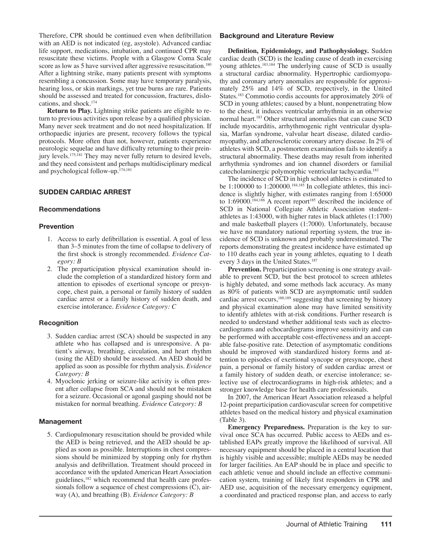Therefore, CPR should be continued even when defibrillation with an AED is not indicated (eg, asystole). Advanced cardiac life support, medications, intubation, and continued CPR may resuscitate these victims. People with a Glasgow Coma Scale score as low as 5 have survived after aggressive resuscitation.<sup>180</sup> After a lightning strike, many patients present with symptoms resembling a concussion. Some may have temporary paralysis, hearing loss, or skin markings, yet true burns are rare. Patients should be assessed and treated for concussion, fractures, dislocations, and shock.<sup>174</sup>

 **Return to Play.** Lightning strike patients are eligible to return to previous activities upon release by a qualified physician. Many never seek treatment and do not need hospitalization. If orthopaedic injuries are present, recovery follows the typical protocols. More often than not, however, patients experience neurologic sequelae and have difficulty returning to their preinjury levels.<sup>175,181</sup> They may never fully return to desired levels, and they need consistent and perhaps multidisciplinary medical and psychological follow-up.174,181

# **SUDDEN CARDIAC ARREST**

# **Recommendations**

# **Prevention**

- 1. Access to early defibrillation is essential. A goal of less than 3–5 minutes from the time of collapse to delivery of the first shock is strongly recommended. *Evidence Category: B*
- 2. The preparticipation physical examination should include the completion of a standardized history form and attention to episodes of exertional syncope or presyncope, chest pain, a personal or family history of sudden cardiac arrest or a family history of sudden death, and exercise intolerance. *Evidence Category: C*

# **Recognition**

- 3. Sudden cardiac arrest (SCA) should be suspected in any athlete who has collapsed and is unresponsive. A patient's airway, breathing, circulation, and heart rhythm (using the AED) should be assessed. An AED should be applied as soon as possible for rhythm analysis. *Evidence Category: B*
- 4. Myoclonic jerking or seizure-like activity is often present after collapse from SCA and should not be mistaken for a seizure. Occasional or agonal gasping should not be mistaken for normal breathing. *Evidence Category: B*

# **Management**

5. Cardiopulmonary resuscitation should be provided while the AED is being retrieved, and the AED should be applied as soon as possible. Interruptions in chest compressions should be minimized by stopping only for rhythm analysis and defibrillation. Treatment should proceed in accordance with the updated American Heart Association guidelines,<sup>182</sup> which recommend that health care professionals follow a sequence of chest compressions (C), airway (A), and breathing (B). *Evidence Category: B*

# **Background and Literature Review**

 **Definition, Epidemiology, and Pathophysiology.** Sudden cardiac death (SCD) is the leading cause of death in exercising young athletes.<sup>183,184</sup> The underlying cause of SCD is usually a structural cardiac abnormality. Hypertrophic cardiomyopathy and coronary artery anomalies are responsible for approximately 25% and 14% of SCD, respectively, in the United States.<sup>183</sup> Commotio cordis accounts for approximately 20% of SCD in young athletes; caused by a blunt, nonpenetrating blow to the chest, it induces ventricular arrhythmia in an otherwise normal heart.<sup>183</sup> Other structural anomalies that can cause SCD include myocarditis, arrhythmogenic right ventricular dysplasia, Marfan syndrome, valvular heart disease, dilated cardiomyopathy, and atherosclerotic coronary artery disease. In 2% of athletes with SCD, a postmortem examination fails to identify a structural abnormality. These deaths may result from inherited arrhythmia syndromes and ion channel disorders or familial catecholaminergic polymorphic ventricular tachycardia.183

The incidence of SCD in high school athletes is estimated to be 1:100000 to 1:200000.<sup>184,185</sup> In collegiate athletes, this incidence is slightly higher, with estimates ranging from 1:65000 to 1:69000.<sup>184,186</sup> A recent report<sup>185</sup> described the incidence of SCD in National Collegiate Athletic Association student– athletes as 1:43000, with higher rates in black athletes (1:1700) and male basketball players (1:7000). Unfortunately, because we have no mandatory national reporting system, the true incidence of SCD is unknown and probably underestimated. The reports demonstrating the greatest incidence have estimated up to 110 deaths each year in young athletes, equating to 1 death every 3 days in the United States.<sup>187</sup>

Prevention. Preparticipation screening is one strategy available to prevent SCD, but the best protocol to screen athletes is highly debated, and some methods lack accuracy. As many as 80% of patients with SCD are asymptomatic until sudden cardiac arrest occurs,<sup>188,189</sup> suggesting that screening by history and physical examination alone may have limited sensitivity to identify athletes with at-risk conditions. Further research is needed to understand whether additional tests such as electrocardiograms and echocardiograms improve sensitivity and can be performed with acceptable cost-effectiveness and an acceptable false-positive rate. Detection of asymptomatic conditions should be improved with standardized history forms and attention to episodes of exertional syncope or presyncope, chest pain, a personal or family history of sudden cardiac arrest or a family history of sudden death, or exercise intolerance; selective use of electrocardiograms in high-risk athletes; and a stronger knowledge base for health care professionals.

In 2007, the American Heart Association released a helpful 12-point preparticipation cardiovascular screen for competitive athletes based on the medical history and physical examination (Table 3).

**Emergency Preparedness.** Preparation is the key to survival once SCA has occurred. Public access to AEDs and established EAPs greatly improve the likelihood of survival. All necessary equipment should be placed in a central location that is highly visible and accessible; multiple AEDs may be needed for larger facilities. An EAP should be in place and specific to each athletic venue and should include an effective communication system, training of likely first responders in CPR and AED use, acquisition of the necessary emergency equipment, a coordinated and practiced response plan, and access to early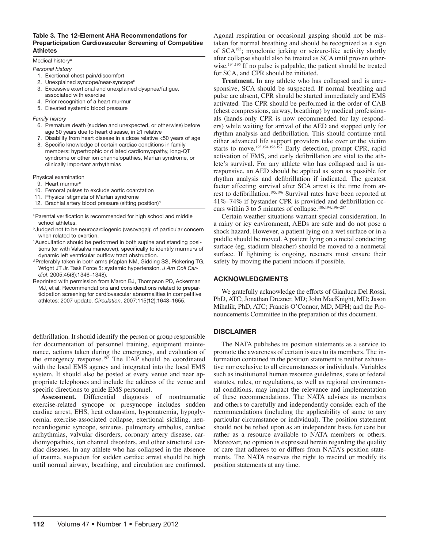## **Table 3. The 12-Element AHA Recommendations for Preparticipation Cardiovascular Screening of Competitive Athletes**

Medical historya

#### *Personal history*

- 1. Exertional chest pain/discomfort
- 2. Unexplained syncope/near-syncope<sup>b</sup>
- 3. Excessive exertional and unexplained dyspnea/fatigue, associated with exercise
- 4. Prior recognition of a heart murmur
- 5. Elevated systemic blood pressure

#### *Family history*

- 6. Premature death (sudden and unexpected, or otherwise) before age 50 years due to heart disease, in ≥1 relative
- 7. Disability from heart disease in a close relative <50 years of age
- 8. Specific knowledge of certain cardiac conditions in family members: hypertrophic or dilated cardiomyopathy, long-QT syndrome or other ion channelopathies, Marfan syndrome, or clinically important arrhythmias

Physical examination

- 9. Heart murmur<sup>c</sup>
- 10. Femoral pulses to exclude aortic coarctation
- 11. Physical stigmata of Marfan syndrome
- 12. Brachial artery blood pressure (sitting position)d
- a Parental verification is recommended for high school and middle school athletes.
- **b** Judged not to be neurocardiogenic (vasovagal); of particular concern when related to exertion.
- cAuscultation should be performed in both supine and standing positions (or with Valsalva maneuver), specifically to identify murmurs of dynamic left ventricular outflow tract obstruction.
- <sup>d</sup> Preferably taken in both arms (Kaplan NM, Gidding SS, Pickering TG, Wright JT Jr. Task Force 5: systemic hypertension. *J Am Coll Cardiol*. 2005;45(8):1346–1348).
- Reprinted with permission from Maron BJ, Thompson PD, Ackerman MJ, et al. Recommendations and considerations related to preparticipation screening for cardiovascular abnormalities in competitive athletes: 2007 update. *Circulation*. 2007;115(12):1643–1655.

defibrillation. It should identify the person or group responsible for documentation of personnel training, equipment maintenance, actions taken during the emergency, and evaluation of the emergency response.<sup>192</sup> The EAP should be coordinated with the local EMS agency and integrated into the local EMS system. It should also be posted at every venue and near appropriate telephones and include the address of the venue and specific directions to guide EMS personnel.

 **Assessment.** Differential diagnosis of nontraumatic exercise-related syncope or presyncope includes sudden cardiac arrest, EHS, heat exhaustion, hyponatremia, hypoglycemia, exercise-associated collapse, exertional sickling, neurocardiogenic syncope, seizures, pulmonary embolus, cardiac arrhythmias, valvular disorders, coronary artery disease, cardiomyopathies, ion channel disorders, and other structural cardiac diseases. In any athlete who has collapsed in the absence of trauma, suspicion for sudden cardiac arrest should be high until normal airway, breathing, and circulation are confirmed.

Agonal respiration or occasional gasping should not be mistaken for normal breathing and should be recognized as a sign of SCA193; myoclonic jerking or seizure-like activity shortly after collapse should also be treated as SCA until proven otherwise.<sup>194,195</sup> If no pulse is palpable, the patient should be treated for SCA, and CPR should be initiated.

**Treatment.** In any athlete who has collapsed and is unresponsive, SCA should be suspected. If normal breathing and pulse are absent, CPR should be started immediately and EMS activated. The CPR should be performed in the order of CAB (chest compressions, airway, breathing) by medical professionals (hands-only CPR is now recommended for lay responders) while waiting for arrival of the AED and stopped only for rhythm analysis and defibrillation. This should continue until either advanced life support providers take over or the victim starts to move.<sup>193,194,196,197</sup> Early detection, prompt CPR, rapid activation of EMS, and early defibrillation are vital to the athlete's survival. For any athlete who has collapsed and is unresponsive, an AED should be applied as soon as possible for rhythm analysis and defibrillation if indicated. The greatest factor affecting survival after SCA arrest is the time from arrest to defibrillation.195,196 Survival rates have been reported at 41%–74% if bystander CPR is provided and defibrillation occurs within 3 to 5 minutes of collapse.186,194,196–207

Certain weather situations warrant special consideration. In a rainy or icy environment, AEDs are safe and do not pose a shock hazard. However, a patient lying on a wet surface or in a puddle should be moved. A patient lying on a metal conducting surface (eg, stadium bleacher) should be moved to a nonmetal surface. If lightning is ongoing, rescuers must ensure their safety by moving the patient indoors if possible.

# **ACKNOWLEDGMENTS**

We gratefully acknowledge the efforts of Gianluca Del Rossi, PhD, ATC; Jonathan Drezner, MD; John MacKnight, MD; Jason Mihalik, PhD, ATC; Francis O'Connor, MD, MPH; and the Pronouncements Committee in the preparation of this document.

# **DISCLAIMER**

The NATA publishes its position statements as a service to promote the awareness of certain issues to its members. The information contained in the position statement is neither exhaustive nor exclusive to all circumstances or individuals. Variables such as institutional human resource guidelines, state or federal statutes, rules, or regulations, as well as regional environmental conditions, may impact the relevance and implementation of these recommendations. The NATA advises its members and others to carefully and independently consider each of the recommendations (including the applicability of same to any particular circumstance or individual). The position statement should not be relied upon as an independent basis for care but rather as a resource available to NATA members or others. Moreover, no opinion is expressed herein regarding the quality of care that adheres to or differs from NATA's position statements. The NATA reserves the right to rescind or modify its position statements at any time.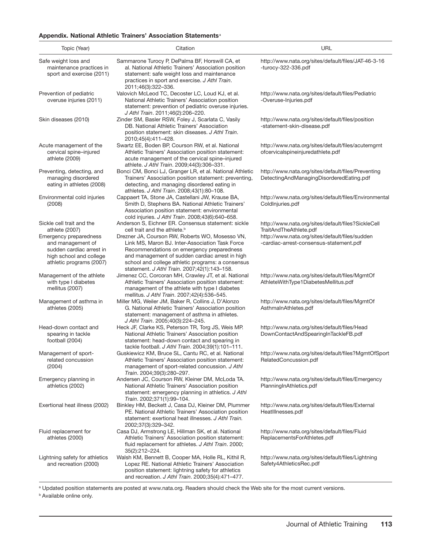# **Appendix. National Athletic Trainers' Association Statements**<sup>a</sup>

| Topic (Year)                                                                                                                   | Citation                                                                                                                                                                                                                                                                                                | <b>URL</b>                                                                                     |
|--------------------------------------------------------------------------------------------------------------------------------|---------------------------------------------------------------------------------------------------------------------------------------------------------------------------------------------------------------------------------------------------------------------------------------------------------|------------------------------------------------------------------------------------------------|
| Safe weight loss and<br>maintenance practices in<br>sport and exercise (2011)                                                  | Sammarone Turocy P, DePalma BF, Horswill CA, et<br>al. National Athletic Trainers' Association position<br>statement: safe weight loss and maintenance<br>practices in sport and exercise. J Athl Train.<br>2011;46(3):322-336.                                                                         | http://www.nata.org/sites/default/files/JAT-46-3-16<br>-turocy-322-336.pdf                     |
| Prevention of pediatric<br>overuse injuries (2011)                                                                             | Valovich McLeod TC, Decoster LC, Loud KJ, et al.<br>National Athletic Trainers' Association position<br>statement: prevention of pediatric overuse injuries.<br>J Athl Train. 2011;46(2):206-220.                                                                                                       | http://www.nata.org/sites/default/files/Pediatric<br>-Overuse-Injuries.pdf                     |
| Skin diseases (2010)                                                                                                           | Zinder SM, Basler RSW, Foley J, Scarlata C, Vasily<br>DB. National Athletic Trainers' Association<br>position statement: skin diseases. J Athl Train.<br>2010;45(4):411-428.                                                                                                                            | http://www.nata.org/sites/default/files/position<br>-statement-skin-disease.pdf                |
| Acute management of the<br>cervical spine-injured<br>athlete (2009)                                                            | Swartz EE, Boden BP, Courson RW, et al. National<br>Athletic Trainers' Association position statement:<br>acute management of the cervical spine-injured<br>athlete. J Athl Train. 2009;44(3):306-331.                                                                                                  | http://www.nata.org/sites/default/files/acutemgmt<br>ofcervicalspineinjuredathlete.pdf         |
| Preventing, detecting, and<br>managing disordered<br>eating in athletes (2008)                                                 | Bonci CM, Bonci LJ, Granger LR, et al. National Athletic<br>Trainers' Association position statement: preventing,<br>detecting, and managing disordered eating in<br>athletes. J Athl Train. 2008;43(1):80-108.                                                                                         | http://www.nata.org/sites/default/files/Preventing<br>DetectingAndManagingDisorderedEating.pdf |
| Environmental cold injuries<br>(2008)                                                                                          | Cappaert TA, Stone JA, Castellani JW, Krause BA,<br>Smith D, Stephens BA. National Athletic Trainers'<br>Association position statement: environmental<br>cold injuries. J Athl Train. 2008;43(6):640-658.                                                                                              | http://www.nata.org/sites/default/files/Environmental<br>ColdInjuries.pdf                      |
| Sickle cell trait and the                                                                                                      | Anderson S, Eichner ER. Consensus statement: sickle                                                                                                                                                                                                                                                     | http://www.nata.org/sites/default/files?SickleCell                                             |
| athlete (2007)                                                                                                                 | cell trait and the athlete. <sup>b</sup>                                                                                                                                                                                                                                                                | TraitAndTheAthlete.pdf                                                                         |
| Emergency preparedness<br>and management of<br>sudden cardiac arrest in<br>high school and college<br>athletic programs (2007) | Drezner JA, Courson RW, Roberts WO, Mosesso VN,<br>Link MS, Maron BJ. Inter-Association Task Force<br>Recommendations on emergency preparedness<br>and management of sudden cardiac arrest in high<br>school and college athletic programs: a consensus<br>statement. J Athl Train. 2007;42(1):143-158. | http://www.nata.org/sites/default/files/sudden<br>-cardiac-arrest-consensus-statement.pdf      |
| Management of the athlete<br>with type I diabetes<br>mellitus (2007)                                                           | Jimenez CC, Corcoran MH, Crawley JT, et al. National<br>Athletic Trainers' Association position statement:<br>management of the athlete with type I diabetes<br>mellitus. J Athl Train. 2007;42(4):536-545.                                                                                             | http://www.nata.org/sites/default/files/MgmtOf<br>AthleteWithType1DiabetesMellitus.pdf         |
| Management of asthma in<br>athletes (2005)                                                                                     | Miller MG, Weiler JM, Baker R, Collins J, D'Alonzo<br>G. National Athletic Trainers' Association position<br>statement: management of asthma in athletes.<br>J Athl Train. 2005;40(3):224-245.                                                                                                          | http://www.nata.org/sites/default/files/MgmtOf<br>AsthmalnAthletes.pdf                         |
| Head-down contact and<br>spearing in tackle<br>football (2004)                                                                 | Heck JF, Clarke KS, Peterson TR, Torg JS, Weis MP.<br>National Athletic Trainers' Association position<br>statement: head-down contact and spearing in<br>tackle football. J Athl Train. 2004;39(1):101-111.                                                                                            | http://www.nata.org/sites/default/files/Head<br>DownContactAndSpearingInTackleFB.pdf           |
| Management of sport-<br>related concussion<br>(2004)                                                                           | Guskiewicz KM, Bruce SL, Cantu RC, et al. National<br>Athletic Trainers' Association position statement:<br>management of sport-related concussion. J Athl<br>Train. 2004;39(3):280-297.                                                                                                                | http://www.nata.org/sites/default/files?MgmtOfSport<br>RelatedConcussion.pdf                   |
| Emergency planning in<br>athletics (2002)                                                                                      | Andersen JC, Courson RW, Kleiner DM, McLoda TA.<br>National Athletic Trainers' Association position<br>statement: emergency planning in athletics. J Athl<br>Train. 2002;371(1):99-104.                                                                                                                 | http://www.nata.org/sites/default/files/Emergency<br>PlanningInAthletics.pdf                   |
| Exertional heat illness (2002)                                                                                                 | Binkley HM, Beckett J, Casa DJ, Kleiner DM, Plummer<br>PE. National Athletic Trainers' Association position<br>statement: exertional heat illnesses. J Athl Train.<br>2002;37(3):329-342.                                                                                                               | http://www.nata.org/sites/default/files/External<br>HeatIllnesses.pdf                          |
| Fluid replacement for<br>athletes (2000)                                                                                       | Casa DJ, Armstrong LE, Hillman SK, et al. National<br>Athletic Trainers' Association position statement:<br>fluid replacement for athletes. J Athl Train. 2000;<br>35(2):212-224.                                                                                                                       | http://www.nata.org/sites/default/files/Fluid<br>ReplacementsForAthletes.pdf                   |
| Lightning safety for athletics<br>and recreation (2000)                                                                        | Walsh KM, Bennett B, Cooper MA, Holle RL, Kithil R,<br>Lopez RE. National Athletic Trainers' Association<br>position statement: lightning safety for athletics<br>and recreation. J Athl Train. 2000;35(4):471-477.                                                                                     | http://www.nata.org/sites/default/files/Lightning<br>Safety4AthleticsRec.pdf                   |

a Updated position statements are posted at www.nata.org. Readers should check the Web site for the most current versions.

**b** Available online only.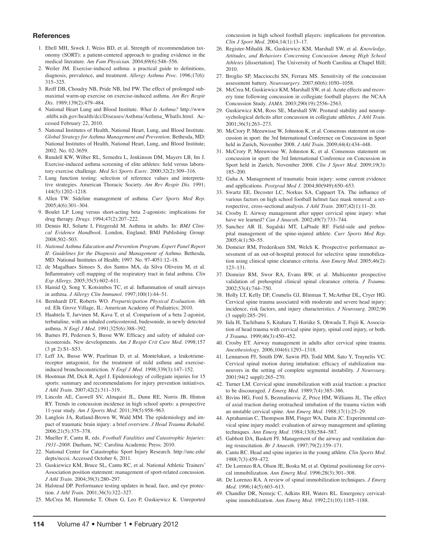## **References**

- 1. Ebell MH, Siwek J, Weiss BD, et al. Strength of recommendation taxonomy (SORT): a patient-centered approach to grading evidence in the medical literature. *Am Fam Physician.* 2004;69(6):548–556.
- 2. Weiler JM. Exercise-induced asthma: a practical guide to definitions, diagnosis, prevalence, and treatment. *Allergy Asthma Proc.* 1996;17(6): 315–325.
- 3. Reiff DB, Choudry NB, Pride NB, Ind PW. The effect of prolonged submaximal warm-up exercise on exercise-induced asthma. *Am Rev Respir Dis.* 1989;139(2):479–484.
- 4. National Heart Lung and Blood Institute. *What Is Asthma?* http://www .nhlbi.nih.gov/health/dci/Diseases/Asthma/Asthma\_WhatIs.html. Accessed February 22, 2010.
- 5. National Institutes of Health, National Heart, Lung, and Blood Institute. *Global Strategy for Asthma Management and Prevention*. Bethesda, MD: National Institutes of Health, National Heart, Lung, and Blood Institute; 2002. No. 02-3659.
- 6. Rundell KW, Wilber RL, Szmedra L, Jenkinson DM, Mayers LB, Im J. Exercise-induced asthma screening of elite athletes: field versus laboratory exercise challenge. *Med Sci Sports Exerc.* 2000;32(2):309–316.
- 7. Lung function testing: selection of reference values and interpretative strategies. American Thoracic Society. *Am Rev Respir Dis.* 1991; 144(5):1202–1218.
- 8. Allen TW. Sideline management of asthma. *Curr Sports Med Rep.* 2005;4(6):301–304.
- 9. Boulet LP. Long versus short-acting beta 2-agonists: implications for drug therapy. *Drugs.* 1994;47(2):207–222.
- 10. Dennis RJ, Solarte I, Fitzgerald M. Asthma in adults. In: *BMJ Clinical Evidence Handbook.* London, England; BMJ Publishing Group: 2008;502–503.
- 11. *National Asthma Education and Prevention Program. Expert Panel Report II: Guidelines for the Diagnosis and Management of Asthma*. Bethesda, MD: National Institutes of Health; 1997. No. 97-4051:12–18.
- 12. de Magalhaes Simoes S, dos Santos MA, da Silva Oliveira M, et al. Inflammatory cell mapping of the respiratory tract in fatal asthma. *Clin Exp Allergy.* 2005;35(5):602–611.
- 13. Hamid Q, Song Y, Kotsimbos TC, et al. Inflammation of small airways in asthma. *J Allergy Clin Immunol*. 1997;100(1):44–51.
- 14. Bernhardt DT, Roberts WO. *Preparticipation Physical Evaluation.* 4th ed. Elk Grove Village, IL: American Academy of Pediatrics; 2010.
- 15. Haahtela T, Jarvinen M, Kava T, et al. Comparison of a beta 2-agonist, terbutaline, with an inhaled corticosteroid, budesonide, in newly detected asthma. *N Engl J Med.* 1991;325(6):388–392.
- 16. Barnes PJ, Pedersen S, Busse WW. Efficacy and safety of inhaled corticosteroids. New developments. *Am J Respir Crit Care Med.* 1998;157 (3 pt 2):S1–S53.
- 17. Leff JA, Busse WW, Pearlman D, et al. Montelukast, a leukotrienereceptor antagonist, for the treatment of mild asthma and exerciseinduced bronchoconstriction. *N Engl J Med.* 1998;339(3):147–152.
- 18. Hootman JM, Dick R, Agel J. Epidemiology of collegiate injuries for 15 sports: summary and recommendations for injury prevention initiatives. *J Athl Train*. 2007;42(2):311–319.
- 19, Lincoln AE, Caswell SV, Almquist JL, Dunn RE, Norris JB, Hinton RY. Trends in concussion incidence in high school sports: a prospective 11-year study. *Am J Sports Med*. 2011;39(5):958–963.
- 20. Langlois JA, Rutland-Brown W, Wald MM. The epidemiology and impact of traumatic brain injury: a brief overview. *J Head Trauma Rehabil*. 2006;21(5):375–378.
- 21. Mueller F, Cantu R, eds. *Football Fatalities and Catastrophic Injuries: 1931–2008*. Durham, NC: Carolina Academic Press; 2010.
- 22. National Center for Catastrophic Sport Injury Research. http://unc.edu/ depts/nccsi. Accessed October 6, 2011.
- 23. Guskiewicz KM, Bruce SL, Cantu RC, et al. National Athletic Trainers' Association position statement: management of sport-related concussion. *J Athl Train.* 2004;39(3):280–297.
- 24. Halstead DP. Performance testing updates in head, face, and eye protection. *J Athl Train.* 2001;36(3):322–327.
- 25. McCrea M, Hammeke T, Olsen G, Leo P, Guskiewicz K. Unreported

concussion in high school football players: implications for prevention. *Clin J Sport Med.* 2004;14(1):13–17.

- 26. Register-Mihalik JK, Guskiewicz KM, Marshall SW, et al. *Knowledge, Attitudes, and Behaviors Concerning Concussion Among High School Athletes* [dissertation]. The University of North Carolina at Chapel Hill; 2010.
- 27. Broglio SP, Macciocchi SN, Ferrara MS. Sensitivity of the concussion assessment battery. *Neurosurgery.* 2007;60(6):1050–1058.
- 28. McCrea M, Guskiewicz KM, Marshall SW, et al. Acute effects and recovery time following concussion in collegiate football players: the NCAA Concussion Study. *JAMA.* 2003;290(19):2556–2563.
- 29. Guskiewicz KM, Ross SE, Marshall SW. Postural stability and neuropsychological deficits after concussion in collegiate athletes. *J Athl Train.* 2001;36(3):263–273.
- 30. McCrory P, Meeuwisse W, Johnston K, et al. Consensus statement on concussion in sport: the 3rd International Conference on Concussion in Sport held in Zurich, November 2008. *J Athl Train.* 2009;44(4):434–448.
- 31. McCrory P, Meeuwisse W, Johnston K, et al. Consensus statement on concussion in sport: the 3rd International Conference on Concussion in Sport held in Zurich, November 2008. *Clin J Sport Med.* 2009;19(3): 185–200.
- 32. Guha A. Management of traumatic brain injury: some current evidence and applications. *Postgrad Med J.* 2004;80(949):650–653.
- 33. Swartz EE, Decoster LC, Norkus SA, Cappaert TA. The influence of various factors on high school football helmet face mask removal: a retrospective, cross-sectional analysis. *J Athl Train*. 2007;42(1):11–20.
- 34. Crosby E. Airway management after upper cervical spine injury: what have we learned? *Can J Anaesth*. 2002;49(7):733–744.
- 35. Sanchez AR II, Sugalski MT, LaPrade RF. Field-side and prehospital management of the spine-injured athlete. *Curr Sports Med Rep*. 2005;4(1):50–55.
- 36. Domeier RM, Frederiksen SM, Welch K. Prospective performance assessment of an out-of-hospital protocol for selective spine immobilization using clinical spine clearance criteria. *Ann Emerg Med*. 2005;46(2): 123–131.
- 37. Domeier RM, Swor RA, Evans RW, et al. Multicenter prospective validation of prehospital clinical spinal clearance criteria. *J Trauma*. 2002;53(4):744–750.
- 38. Holly LT, Kelly DF, Counelis GJ, Blinman T, McArthur DL, Cryer HG. Cervical spine trauma associated with moderate and severe head injury: incidence, risk factors, and injury characteristics. *J Neurosurg*. 2002;96 (3 suppl):285–291.
- 39. Iida H, Tachibana S, Kitahara T, Horiike S, Ohwada T, Fujii K. Association of head trauma with cervical spine injury, spinal cord injury, or both. *J Trauma*. 1999;46(3):450–452.
- 40. Crosby ET. Airway management in adults after cervical spine trauma. *Anesthesiology*. 2006;104(6):1293–1318.
- 41. Lennarson PJ, Smith DW, Sawin PD, Todd MM, Sato Y, Traynelis VC. Cervical spinal motion during intubation: efficacy of stabilization maneuvers in the setting of complete segmental instability. *J Neurosurg*. 2001;94(2 suppl):265–270.
- 42. Turner LM. Cervical spine immobilization with axial traction: a practice to be discouraged. *J Emerg Med*. 1989;7(4):385–386.
- 43. Bivins HG, Ford S, Bezmalinovic Z, Price HM, Williams JL. The effect of axial traction during orotracheal intubation of the trauma victim with an unstable cervical spine. *Ann Emerg Med*. 1988;17(1):25–29.
- 44. Aprahamian C, Thompson BM, Finger WA, Darin JC. Experimental cervical spine injury model: evaluation of airway management and splinting techniques. *Ann Emerg Med*. 1984;13(8):584–587.
- 45. Gabbott DA, Baskett PJ. Management of the airway and ventilation during resuscitation. *Br J Anaesth*. 1997;79(2):159–171.
- 46. Cantu RC. Head and spine injuries in the young athlete. *Clin Sports Med*. 1988;7(3):459–472.
- 47. De Lorenzo RA, Olson JE, Boska M, et al. Optimal positioning for cervical immobilization. *Ann Emerg Med*. 1996;28(3):301–308.
- 48. De Lorenzo RA. A review of spinal immobilization techniques. *J Emerg Med*. 1996;14(5):603–613.
- 49. Chandler DR, Nemejc C, Adkins RH, Waters RL. Emergency cervicalspine immobilization. *Ann Emerg Med*. 1992;21(10):1185–1188.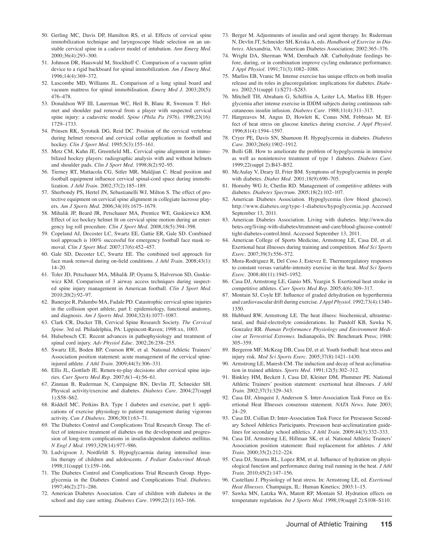- 50. Gerling MC, Davis DP, Hamilton RS, et al. Effects of cervical spine immobilization technique and laryngoscope blade selection on an unstable cervical spine in a cadaver model of intubation. *Ann Emerg Med*. 2000;36(4):293–300.
- 51. Johnson DR, Hauswald M, Stockhoff C. Comparison of a vacuum splint device to a rigid backboard for spinal immobilization. *Am J Emerg Med*. 1996;14(4):369–372.
- 52. Luscombe MD, Williams JL. Comparison of a long spinal board and vacuum mattress for spinal immobilisation. *Emerg Med J*. 2003;20(5): 476–478.
- 53. Donaldson WF III, Lauerman WC, Heil B, Blanc R, Swenson T. Helmet and shoulder pad removal from a player with suspected cervical spine injury: a cadaveric model. *Spine (Phila Pa 1976).* 1998;23(16): 1729–1733.
- 54. Prinsen RK, Syrotuik DG, Reid DC. Position of the cervical vertebrae during helmet removal and cervical collar application in football and hockey. *Clin J Sport Med*. 1995;5(3):155–161.
- 55. Metz CM, Kuhn JE, Greenfield ML. Cervical spine alignment in immobilized hockey players: radiographic analysis with and without helmets and shoulder pads. *Clin J Sport Med*. 1998;8(2):92–95.
- 56. Tierney RT, Mattacola CG, Sitler MR, Maldjian C. Head position and football equipment influence cervical spinal-cord space during immobilization. *J Athl Train*. 2002;37(2):185–189.
- 57. Sherbondy PS, Hertel JN, Sebastianelli WJ, Milton S. The effect of protective equipment on cervical spine alignment in collegiate lacrosse players. *Am J Sports Med*. 2006;34(10):1675–1679.
- 58. Mihalik JP, Beard JR, Petschauer MA, Prentice WE, Guskiewicz KM. Effect of ice hockey helmet fit on cervical spine motion during an emergency log roll procedure. *Clin J Sport Med*. 2008;18(5):394–398.
- 59. Copeland AJ, Decoster LC, Swartz EE, Gattie ER, Gale SD. Combined tool approach is 100% successful for emergency football face mask removal. *Clin J Sport Med*. 2007;17(6):452–457.
- 60. Gale SD, Decoster LC, Swartz EE. The combined tool approach for face mask removal during on-field conditions. *J Athl Train*. 2008;43(1): 14–20.
- 61. Toler JD, Petschauer MA, Mihalik JP, Oyama S, Halverson SD, Guskiewicz KM. Comparison of 3 airway access techniques during suspected spine injury management in American football. *Clin J Sport Med*. 2010;20(2):92–97.
- 62. Banerjee R, Palumbo MA, Fadale PD. Catastrophic cervical spine injuries in the collision sport athlete, part I: epidemiology, functional anatomy, and diagnosis. *Am J Sports Med*. 2004;32(4):1077–1087.
- 63. Clark CR, Ducker TB, Cervical Spine Research Society. *The Cervical Spine*. 3rd ed. Philadelphia, PA: Lippincott-Raven; 1998:xx, 1003.
- 64. Hulsebosch CE. Recent advances in pathophysiology and treatment of spinal cord injury. *Adv Physiol Educ*. 2002;26:238–255.
- 65. Swartz EE, Boden BP, Courson RW, et al. National Athletic Trainers' Association position statement: acute management of the cervical spineinjured athlete. *J Athl Train*. 2009;44(3):306–331.
- 66. Ellis JL, Gottlieb JE. Return-to-play decisions after cervical spine injuries. *Curr Sports Med Rep*. 2007;6(1–4):56–61.
- 67. Zinman B, Ruderman N, Campaigne BN, Devlin JT, Schneider SH. Physical activity/exercise and diabetes. *Diabetes Care.* 2004;27(suppl 1):S58–S62.
- 68. Riddell MC, Perkins BA. Type 1 diabetes and exercise, part I: applications of exercise physiology to patient management during vigorous activity. *Can J Diabetes.* 2006;30(1):63–71.
- 69. The Diabetes Control and Complications Trial Research Group. The effect of intensive treatment of diabetes on the development and progression of long-term complications in insulin-dependent diabetes mellitus. *N Engl J Med.* 1993;329(14):977–986.
- 70. Ludvigsson J, Nordfeldt S. Hypoglycaemia during intensified insulin therapy of children and adolescents. *J Pediatr Endocrinol Metab.*  1998;11(suppl 1):159–166.
- 71. The Diabetes Control and Complications Trial Research Group. Hypoglycemia in the Diabetes Control and Complications Trial. *Diabetes.*  1997;46(2):271–286.
- 72. American Diabetes Association. Care of children with diabetes in the school and day care setting. *Diabetes Care.* 1999;22(1):163–166.
- 73. Berger M. Adjustments of insulin and oral agent therapy. In: Ruderman N, Devlin JT, Schneider SH, Kriska A, eds. *Handbook of Exercise in Diabetes*. Alexandria, VA: American Diabetes Association; 2002:365–376.
- 74. Wright DA, Sherman WM, Dernbach AR. Carbohydrate feedings before, during, or in combination improve cycling endurance performance. *J Appl Physiol.* 1991;71(3):1082–1088.
- 75. Marliss EB, Vranic M. Intense exercise has unique effects on both insulin release and its roles in glucoregulation: implications for diabetes. *Diabetes.* 2002;51(suppl 1):S271–S283.
- 76. Mitchell TH, Abraham G, Schiffrin A, Leiter LA, Marliss EB. Hyperglycemia after intense exercise in IDDM subjects during continuous subcutaneous insulin infusion. *Diabetes Care.* 1988;11(4):311–317.
- 77. Hargreaves M, Angus D, Howlett K, Conus NM, Febbraio M. Effect of heat stress on glucose kinetics during exercise. *J Appl Physiol.*  1996;81(4):1594–1597.
- 78. Cryer PE, Davis SN, Shamoon H. Hypoglycemia in diabetes. *Diabetes Care.* 2003;26(6):1902–1912.
- 79. Bolli GB. How to ameliorate the problem of hypoglycemia in intensive as well as nonintensive treatment of type 1 diabetes. *Diabetes Care.*  1999;22(suppl 2):B43–B52.
- 80. McAulay V, Deary IJ, Frier BM. Symptoms of hypoglycaemia in people with diabetes. *Diabet Med.* 2001;18(9):690–705.
- 81. Hornsby WG Jr, Chetlin RD. Management of competitive athletes with diabetes. *Diabetes Spectrum.* 2005;18(2):102–107.
- 82. American Diabetes Association. Hypoglycemia (low blood glucose). http://www.diabetes.org/type-1-diabetes/hypoglycemia.jsp. Accessed September 13, 2011.
- 83. American Diabetes Association. Living with diabetes. http://www.dia betes.org/living-with-diabetes/treatment-and-care/blood-glucose-control/ tight-diabetes-control.html. Accessed September 13, 2011.
- 84. American College of Sports Medicine, Armstrong LE, Casa DJ, et al. Exertional heat illnesses during training and competition. *Med Sci Sports Exerc.* 2007;39(3):556–572.
- 85. Mora-Rodriguez R, Del Coso J, Estevez E. Thermoregulatory responses to constant versus variable-intensity exercise in the heat. *Med Sci Sports Exerc.* 2008;40(11):1945–1952.
- 86. Casa DJ, Armstrong LE, Ganio MS, Yeargin S. Exertional heat stroke in competitive athletes. *Curr Sports Med Rep.* 2005;4(6):309–317.
- 87. Montain SJ, Coyle EF. Influence of graded dehydration on hyperthermia and cardiovascular drift during exercise. *J Appl Physiol.* 1992;73(4):1340– 1350.
- 88. Hubbard RW, Armstrong LE. The heat illness: biochemical, ultrastructural, and fluid-electrolyte considerations. In: Pandolf KB, Sawka N, Gonzalez RR. *Human Performance Physiology and Environment Medicine at Terrestrial Extremes*. Indianapolis, IN: Benchmark Press; 1988: 305–359.
- 89. Bergeron MF, McKeag DB, Casa DJ, et al. Youth football: heat stress and injury risk. *Med Sci Sports Exerc.* 2005;37(8):1421–1430.
- 90. Armstrong LE, Maresh CM. The induction and decay of heat acclimatisation in trained athletes. *Sports Med.* 1991;12(5):302–312.
- 91. Binkley HM, Beckett J, Casa DJ, Kleiner DM, Plummer PE. National Athletic Trainers' position statement: exertional heat illnesses. *J Athl Train.* 2002;37(3):329–343.
- Casa DJ, Almquist J, Anderson S. Inter-Association Task Force on Exertional Heat Illnesses consensus statement. *NATA News.* June 2003; 24–29.
- 93. Casa DJ, Csillan D; Inter-Association Task Force for Preseason Secondary School Athletics Participants. Preseason heat-acclimatization guidelines for secondary school athletics. *J Athl Train.* 2009;44(3):332–333.
- 94. Casa DJ, Armstrong LE, Hillman SK, et al. National Athletic Trainers' Association position statement: fluid replacement for athletes. *J Athl Train.* 2000;35(2):212–224.
- 95. Casa DJ, Stearns RL, Lopez RM, et al. Influence of hydration on physiological function and performance during trail running in the heat. *J Athl Train.* 2010;45(2):147–156.
- 96. Castellani J. Physiology of heat stress. In: Armstrong LE, ed. *Exertional Heat Illnesses*. Champaign, IL: Human Kinetics; 2003:1–15.
- 97. Sawka MN, Latzka WA, Matott RP, Montain SJ. Hydration effects on temperature regulation. *Int J Sports Med.* 1998;19(suppl 2):S108-S110.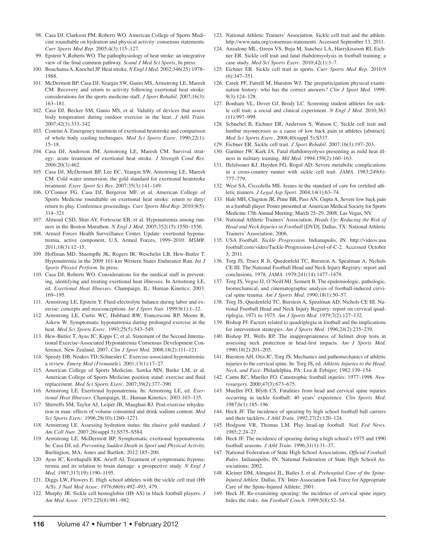- 98. Casa DJ, Clarkson PM, Roberts WO. American College of Sports Medicine roundtable on hydration and physical activity: consensus statements. *Curr Sports Med Rep.* 2005;4(3):115–127.
- 99. Epstein Y, Roberts WO. The pathophysiology of heat stroke: an integrative view of the final common pathway. *Scand J Med Sci Sports*. In press.
- 100. Bouchama A, Knochel JP. Heat stroke. *N Engl J Med*. 2002;346(25):1978– 1988.
- 101. McDermott BP, Casa DJ, Yeargin SW, Ganio MS, Armstrong LE, Maresh CM. Recovery and return to activity following exertional heat stroke: considerations for the sports medicine staff. *J Sport Rehabil*. 2007;16(3): 163–181.
- 102. Casa DJ, Becker SM, Ganio MS, et al. Validity of devices that assess body temperature during outdoor exercise in the heat. *J Athl Train.*  2007;42(3):333–342.
- 103. Costrini A. Emergency treatment of exertional heatstroke and comparison of whole body cooling techniques. *Med Sci Sports Exerc.* 1990;22(1): 15–18.
- 104. Casa DJ, Anderson JM, Armstrong LE, Maresh CM. Survival strategy: acute treatment of exertional heat stroke. *J Strength Cond Res.*  2006;20(3):462.
- 105. Casa DJ, McDermott BP, Lee EC, Yeargin SW, Armstrong LE, Maresh CM. Cold water immersion: the gold standard for exertional heatstroke treatment. *Exerc Sport Sci Rev.* 2007;35(3):141–149.
- 106. O'Connor FG, Casa DJ, Bergeron MF, et al. American College of Sports Medicine roundtable on exertional heat stroke: return to duty/ return to play. Conference proceedings. *Curr Sports Med Rep*. 2010;9(5): 314–321.
- 107. Almond CSD, Shin AY, Fortescue EB, et al. Hyponatremia among runners in the Boston Marathon. *N Engl J Med.* 2005;352(15):1550–1556.
- 108. Armed Forces Health Surveillance Center. Update: exertional hyponatremia, active component, U.S. Armed Forces, 1999–2010. *MSMR*. 2011;18(3):12–15.
- 109. Hoffman MD, Stuempfle JK, Rogers IR, Wescheler LB, Hew-Butler T. Hyponatremia in the 2009 161-km Western States Endurance Run. *Int J Sports Physiol Perform.* In press.
- 110. Casa DJ, Roberts WO. Considerations for the medical staff in preventing, identifying and treating exertional heat illnesses. In Armstrong LE, ed. *Exertional Heat Illnesses.* Champaign, IL: Human Kinetics; 2003: 169–195.
- 111. Armstrong LE, Epstein Y. Fluid-electrolyte balance during labor and exercise: concepts and misconceptions. *Int J Sport Nutr.* 1999;9(1):1–12.
- 112. Armstrong LE, Curtis WC, Hubbard RW, Francesconi RP, Moore R, Askew W. Symptomatic hyponatremia during prolonged exercise in the heat. *Med Sci Sports Exerc.* 1993;25(5):543–549.
- 113. Hew-Butler T, Ayus JC, Kipps C, et al. Statement of the Second International Exercise-Associated Hyponatremia Consensus Development Conference, New Zealand, 2007. *Clin J Sport Med.* 2008;18(2):111–121.
- 114. Speedy DB, Noakes TD, Schneider C. Exercise-associated hyponatremia: a review. *Emerg Med (Fremantle).* 2001;13(1):17–27.
- 115. American College of Sports Medicine, Sawka MN, Burke LM, et al. American College of Sports Medicine position stand: exercise and fluid replacement. *Med Sci Sports Exerc.* 2007;39(2):377–390.
- 116. Armstrong LE. Exertional hyponatremia. In: Armstrong LE, ed. *Exertional Heat Illnesses.* Champaign, IL: Human Kinetics; 2003:103–135.
- 117. Shirreffs SM, Taylor AJ, Leiper JB, Maughan RJ. Post-exercise rehydration in man: effects of volume consumed and drink sodium content. *Med Sci Sports Exerc.* 1996;28(10):1260–1271.
- 118. Armstrong LE. Assessing hydration status: the elusive gold standard. *J Am Coll Nutr.* 2007;26(suppl 5):S575–S584.
- 119. Armstrong LE, McDermott BP. Symptomatic exertional hyponatremia. In: Casa DJ, ed. *Preventing Sudden Death in Sport and Physical Activity.*  Burlington, MA: Jones and Bartlett; 2012:185–200.
- 120. Ayus JC, Krothapalli RK, Arieff AI. Treatment of symptomatic hyponatremia and its relation to brain damage: a prospective study. *N Engl J Med.* 1987;317(19):1190–1195.
- 121. Diggs LW, Flowers E. High school athletes with the sickle cell trait (Hb A/S). *J Natl Med Assoc.* 1976;68(6):492–493, 479.
- 122. Murphy JR. Sickle cell hemoglobin (Hb AS) in black football players. *J Am Med Assoc.* 1973:225(8):981–982.
- 123. National Athletic Trainers' Association. Sickle cell trait and the athlete. http://www.nata.org/consensus-statements. Accessed September 13, 2011.
- 124. Anzalone ML, Green VS, Buja M, Sanchez LA, Harrykissoon RI, Eichner ER. Sickle cell trait and fatal rhabdomyolysis in football training: a case study. *Med Sci Sports Exerc.* 2010;42(1):3–7.
- 125. Eichner ER. Sickle cell trait in sports. *Curr Sports Med Rep.* 2010;9 (6):347–351.
- 126. Carek PF, Futrell M, Hueston WJ. The preparticipation physical examination history: who has the correct answers? *Clin J Sport Med.* 1999; 9(3):124–128.
- 127. Bonham VL, Dover GJ, Brody LC. Screening student athletes for sickle cell trait: a social and clinical experiment. *N Engl J Med.* 2010;363 (11):997–999.
- 128. Schnebel B, Eichner ER, Anderson S, Watson C. Sickle cell trait and lumbar myonecrosis as a cause of low back pain in athletes [abstract]. *Med Sci Sports Exerc.* 2008;40(suppl 5):S537.
- 129. Eichner ER. Sickle cell trait. *J Sport Rehabil.* 2007;16(3):197–203.
- 130. Gardner JW, Kark JA. Fatal rhabdomyolysis presenting as mild heat illness in military training. *Mil Med.* 1994;159(2):160–163.
- 131. Helzlsouer KJ, Hayden FG, Rogol AD. Severe metabolic complications in a cross-country runner with sickle cell trait. *JAMA.* 1983;249(6): 777–779.
- 132. West SA, Ciccolella ME. Issues in the standard of care for certified athletic trainers. *J Legal Asp Sport.* 2004;14(1):63–74.
- 133. Hale MH, Clugston JR, Prine BR, Pass AN, Gupta A. Severe low back pain in a football player. Poster presented at: American Medical Society for Sports Medicine 17th Annual Meeting; March 25–29, 2008; Las Vegas, NV.
- 134. National Athletic Trainers' Association. *Heads Up: Reducing the Risk of Head and Neck Injuries in Football* [DVD]. Dallas, TX: National Athletic Trainers' Association; 2006.
- 135. USA Football. *Tackle Progression*. Indianapolis, IN. http://videos.usa football.com/video/Tackle-Progression-Level-of-C-2. Accessed October 3, 2011.
- 136. Torg JS, Truex R Jr, Quedenfeld TC, Burstein A, Spealman A, Nichols CE III. The National Football Head and Neck Injury Registry: report and conclusions, 1978. *JAMA.* 1979;241(14):1477–1479.
- 137. Torg JS, Vegso JJ, O'Neill MJ, Sennett B. The epidemiologic, pathologic, biomechanical, and cinematographic analysis of football-induced cervical spine trauma. *Am J Sports Med.* 1990;18(1):50–57.
- 138. Torg JS, Quedenfeld TC, Burstein A, Spealman AD, Nichols CE III. National Football Head and Neck Injury Registry: report on cervical quadriplegia, 1971 to 1975. *Am J Sports Med.* 1979;7(2):127–132.
- 139. Bishop PJ. Factors related to quadriplegia in football and the implications for intervention strategies. *Am J Sports Med.* 1996;24(2):235–239.
- 140. Bishop PJ, Wells RP. The inappropriateness of helmet drop tests in assessing neck protection in head-first impacts. *Am J Sports Med*. 1990;18(2):201–205.
- 141. Burstein AH, Otis JC, Torg JS. Mechanics and pathomechanics of athletic injuries to the cervical spine. In: Torg JS, ed. *Athletic Injuries to the Head, Neck, and Face*. Philadelphia, PA: Lea & Febiger; 1982:139–154.
- 142. Cantu RC, Mueller FO. Catastrophic football injuries: 1977–1998. *Neurosurgery.* 2000;47(3):673–675.
- 143. Mueller FO, Blyth CS. Fatalities from head and cervical spine injuries occurring in tackle football: 40 years' experience. *Clin Sports Med.* 1987;6(1):185–196.
- 144. Heck JF. The incidence of spearing by high school football ball carriers and their tacklers. *J Athl Train.* 1992;27(2):120–124.
- 145. Hodgson VR, Thomas LM. Play head-up football. *Natl Fed News.*  1985;2:24–27.
- 146. Heck JF. The incidence of spearing during a high school's 1975 and 1990 football seasons. *J Athl Train.* 1996;31(1):31–37.
- 147. National Federation of State High School Associations. *Official Football Rules.* Indianapolis, IN: National Federation of State High School Associations: 2002.
- 148. Kleiner DM, Almquist JL, Bailes J, et al. *Prehospital Care of the Spine-Injured Athlete.* Dallas, TX: Inter-Association Task Force for Appropriate Care of the Spine-Injured Athlete; 2001.
- 149. Heck JF. Re-examining spearing: the incidence of cervical spine injury hides the risks. *Am Football Coach*. 1999;5(8):52-54.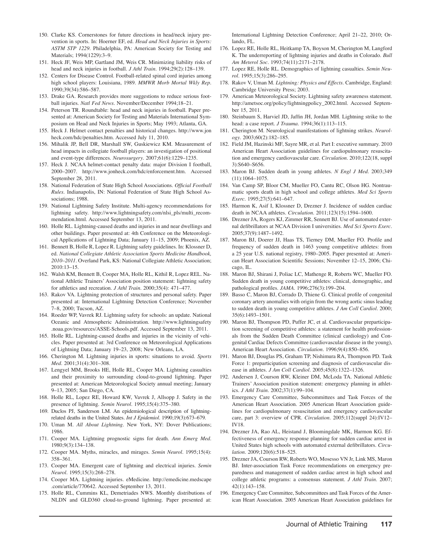- 150. Clarke KS. Cornerstones for future directions in head/neck injury prevention in sports. In: Hoerner EF, ed. *Head and Neck Injuries in Sports: ASTM STP 1229.* Philadelphia, PA: American Society for Testing and Materials; 1994(1229):3–9.
- 151. Heck JF, Weis MP, Gartland JM, Weis CR. Minimizing liability risks of head and neck injuries in football. *J Athl Train.* 1994;29(2):128–139.
- 152. Centers for Disease Control. Football-related spinal cord injuries among high school players: Louisiana, 1989. *MMWR Morb Mortal Wkly Rep.*  1990;39(34):586–587.
- 153. Drake GA. Research provides more suggestions to reduce serious football injuries. *Natl Fed News.* November/December 1994;18–21.
- 154. Peterson TR. Roundtable: head and neck injuries in football. Paper presented at: American Society for Testing and Materials International Symposium on Head and Neck Injuries in Sports; May 1993; Atlanta, GA.
- 155. Heck J. Helmet contact penalties and historical changes. http://www.jon heck.com/hdc/penalties.htm. Accessed July 11, 2010.
- 156. Mihalik JP, Bell DR, Marshall SW, Guskiewicz KM. Measurement of head impacts in collegiate football players: an investigation of positional and event-type differences. *Neurosurgery*. 2007;61(6):1229–1235.
- 157. Heck J. NCAA helmet-contact penalty data: major Division I football, 2000–2007. http://www.jonheck.com/hdc/enforcement.htm. Accessed September 28, 2011.
- 158. National Federation of State High School Associations. *Official Football Rules.* Indianapolis, IN: National Federation of State High School Associations: 1988.
- 159. National Lightning Safety Institute. Multi-agency recommendations for lightning safety. http://www.lightningsafety.com/nlsi\_pls/multi\_recommendation.html. Accessed September 13, 2011.
- 160. Holle RL. Lightning-caused deaths and injuries in and near dwellings and other buildings. Paper presented at: 4th Conference on the Meteorological Applications of Lightning Data; January 11–15, 2009; Phoenix, AZ.
- 161. Bennett B, Holle R, Lopez R. Lightning safety guidelines. In: Klossner D, ed. *National Collegiate Athletic Association Sports Medicine Handbook, 2010–2011.* Overland Park, KS: National Collegiate Athletic Association; 2010:13–15.
- 162. Walsh KM, Bennett B, Cooper MA, Holle RL, Kithil R, Lopez REL. National Athletic Trainers' Association position statement: lightning safety for athletics and recreation. *J Athl Train*. 2000;35(4): 471–477.
- 163. Rakov VA. Lightning protection of structures and personal safety. Paper presented at: International Lightning Detection Conference; November 7–8, 2000; Tucson, AZ.
- 164. Roeder WP, Vavrek RJ. Lightning safety for schools: an update. National Oceanic and Atmospheric Administration. http://www.lightningsafety .noaa.gov/resources/ASSE-Schools.pdf. Accessed September 13, 2011.
- 165. Holle RL. Lightning-caused deaths and injuries in the vicinity of vehicles. Paper presented at: 3rd Conference on Meteorological Applications of Lightning Data; January 19–23, 2008; New Orleans, LA.
- 166. Cherington M. Lightning injuries in sports: situations to avoid*. Sports Med*. 2001;31(4):301–308.
- 167. Lengyel MM, Brooks HE, Holle RL, Cooper MA. Lightning casualties and their proximity to surrounding cloud-to-ground lightning. Paper presented at: American Meteorological Society annual meeting; January 9–13, 2005; San Diego, CA.
- 168. Holle RL, Lopez RE, Howard KW, Vavrek J, Allsopp J. Safety in the presence of lightning*. Semin Neurol.* 1995;15(4):375–380.
- 169. Duclos PJ, Sanderson LM. An epidemiological description of lightningrelated deaths in the United States. *Int J Epidemiol*. 1990;19(3):673–679.
- 170. Uman M. *All About Lightning.* New York, NY: Dover Publications; 1986.
- 171. Cooper MA. Lightning prognostic signs for death. *Ann Emerg Med*. 1980;9(3):134–138.
- 172. Cooper MA. Myths, miracles, and mirages. *Semin Neurol*. 1995;15(4): 358–361.
- 173. Cooper MA. Emergent care of lightning and electrical injuries*. Semin Neurol*. 1995;15(3):268–278.
- 174. Cooper MA. Lightning injuries. eMedicine. http://emedicine.medscape .com/article/770642. Accessed September 13, 2011.
- 175. Holle RL, Cummins KL, Demetriades NWS. Monthly distributions of NLDN and GLD360 cloud-to-ground lightning. Paper presented at:

International Lightning Detection Conference; April 21–22, 2010; Orlando, FL.

- 176. Lopez RE, Holle RL, Heitkamp TA, Boyson M, Cherington M, Langford K. The underreporting of lightning injuries and deaths in Colorado. *Bull Am Meterol Soc.* 1993;74(11):2171–2178.
- 177. Lopez RE, Holle RL. Demographics of lightning casualties*. Semin Neurol*. 1995;15(3):286–295.
- 178. Rakov V, Uman M. *Lightning: Physics and Effects.* Cambridge, England: Cambridge University Press; 2003.
- 179. American Meteorological Society. Lightning safety awareness statement*.* http://ametsoc.org/policy/lightningpolicy\_2002.html. Accessed September 15, 2011.
- 180. Steinbaum S, Harviel JD, Jaffin JH, Jordan MH. Lightning strike to the head: a case report. *J Trauma*. 1994;36(1):113–115.
- 181. Cherington M. Neurological manifestations of lightning strikes*. Neurology*. 2003;60(2):182–185.
- 182. Field JM, Hazinski MF, Sayre MR, et al. Part I: executive summary. 2010 American Heart Association guidelines for cardiopulmonary resuscitation and emergency cardiovascular care. *Circulation*. 2010;122(18, suppl 3):S640–S656.
- 183. Maron BJ. Sudden death in young athletes. *N Engl J Med.* 2003;349 (11):1064–1075.
- 184. Van Camp SP, Bloor CM, Mueller FO, Cantu RC, Olson HG. Nontraumatic sports death in high school and college athletes. *Med Sci Sports Exerc.* 1995;27(5):641–647.
- 185. Harmon K, Asif I, Klossner D, Drezner J. Incidence of sudden cardiac death in NCAA athletes. *Circulation*. 2011;123(15):1594–1600.
- 186. Drezner JA, Rogers KJ, Zimmer RR, Sennett BJ. Use of automated external defibrillators at NCAA Division I universities. *Med Sci Sports Exerc.* 2005;37(9):1487–1492.
- 187. Maron BJ, Doerer JJ, Haas TS, Tierney DM, Mueller FO. Profile and frequency of sudden death in 1463 young competitive athletes: from a 25 year U.S. national registry, 1980–2005. Paper presented at: American Heart Association Scientific Sessions; November 12–15, 2006; Chicago, IL.
- 188. Maron BJ, Shirani J, Poliac LC, Mathenge R, Roberts WC, Mueller FO. Sudden death in young competitive athletes: clinical, demographic, and pathological profiles. *JAMA.* 1996;276(3):199–204.
- 189. Basso C, Maron BJ, Corrado D, Thiene G. Clinical profile of congenital coronary artery anomalies with origin from the wrong aortic sinus leading to sudden death in young competitive athletes. *J Am Coll Cardiol.* 2000; 35(6):1493–1501.
- 190. Maron BJ, Thompson PD, Puffer JC, et al. Cardiovascular preparticipation screening of competitive athletes: a statement for health professionals from the Sudden Death Committee (clinical cardiology) and Congenital Cardiac Defects Committee (cardiovascular disease in the young), American Heart Association. *Circulation.* 1996;9(4):850–856.
- 191. Maron BJ, Douglas PS, Graham TP, Nishimura RA, Thompson PD. Task Force 1: preparticipation screening and diagnosis of cardiovascular disease in athletes. *J Am Coll Cardiol.* 2005;45(8):1322–1326.
- 192. Andersen J, Courson RW, Kleiner DM, McLoda TA. National Athletic Trainers' Association position statement: emergency planning in athletics. *J Athl Train.* 2002;37(1):99–104.
- 193. Emergency Care Committee, Subcommittees and Task Forces of the American Heart Association. 2005 American Heart Association guidelines for cardiopulmonary resuscitation and emergency cardiovascular care, part 3: overview of CPR. *Circulation.* 2005;112(suppl 24):IV12– IV18.
- 194. Drezner JA, Rao AL, Heistand J, Bloomingdale MK, Harmon KG. Effectiveness of emergency response planning for sudden cardiac arrest in United States high schools with automated external defibrillators. *Circulation*. 2009;120(6):518–525.
- 195. Drezner JA, Courson RW, Roberts WO, Mosesso VN Jr, Link MS, Maron BJ. Inter-association Task Force recommendations on emergency preparedness and management of sudden cardiac arrest in high school and college athletic programs: a consensus statement. *J Athl Train.* 2007; 42(1):143–158.
- 196. Emergency Care Committee, Subcommittees and Task Forces of the American Heart Association. 2005 American Heart Association guidelines for